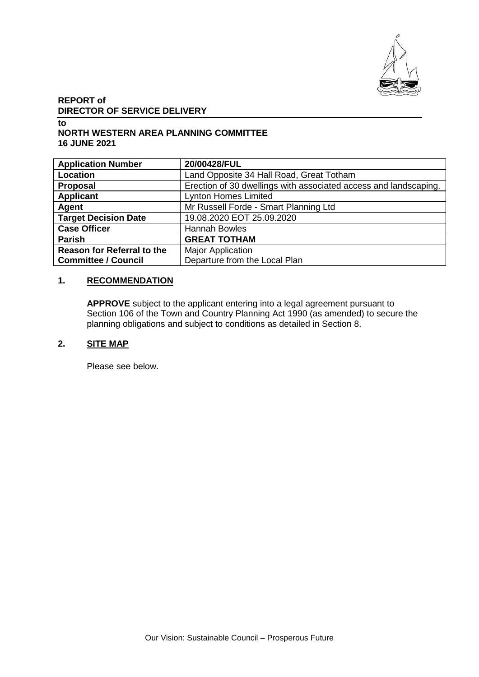

# **REPORT of DIRECTOR OF SERVICE DELIVERY**

#### **to NORTH WESTERN AREA PLANNING COMMITTEE 16 JUNE 2021**

| <b>Application Number</b>         | 20/00428/FUL                                                     |
|-----------------------------------|------------------------------------------------------------------|
| Location                          | Land Opposite 34 Hall Road, Great Totham                         |
| Proposal                          | Erection of 30 dwellings with associated access and landscaping. |
| <b>Applicant</b>                  | <b>Lynton Homes Limited</b>                                      |
| Agent                             | Mr Russell Forde - Smart Planning Ltd                            |
| <b>Target Decision Date</b>       | 19.08.2020 EOT 25.09.2020                                        |
| <b>Case Officer</b>               | <b>Hannah Bowles</b>                                             |
| <b>Parish</b>                     | <b>GREAT TOTHAM</b>                                              |
| <b>Reason for Referral to the</b> | <b>Major Application</b>                                         |
| <b>Committee / Council</b>        | Departure from the Local Plan                                    |

## **1. RECOMMENDATION**

**APPROVE** subject to the applicant entering into a legal agreement pursuant to Section 106 of the Town and Country Planning Act 1990 (as amended) to secure the planning obligations and subject to conditions as detailed in Section 8.

#### **2. SITE MAP**

Please see below.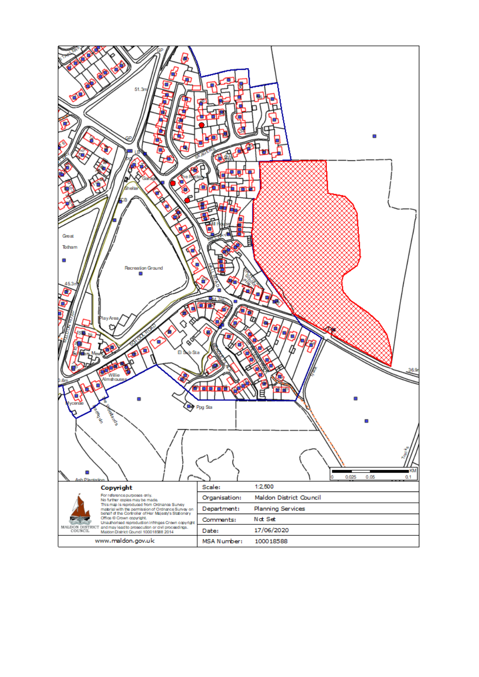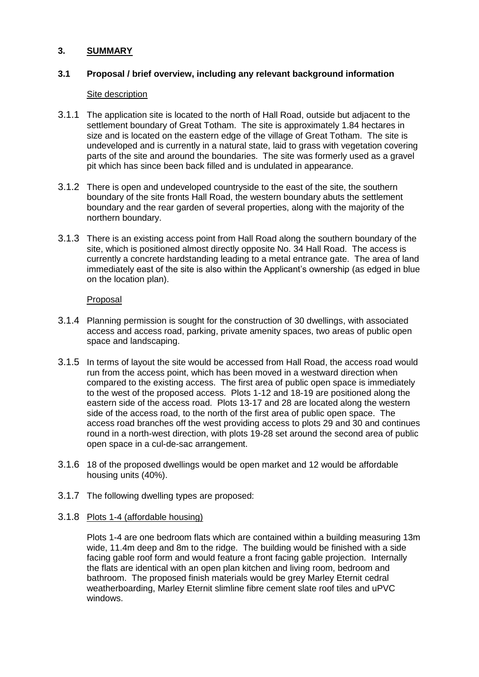## **3. SUMMARY**

## **3.1 Proposal / brief overview, including any relevant background information**

#### Site description

- 3.1.1 The application site is located to the north of Hall Road, outside but adjacent to the settlement boundary of Great Totham. The site is approximately 1.84 hectares in size and is located on the eastern edge of the village of Great Totham. The site is undeveloped and is currently in a natural state, laid to grass with vegetation covering parts of the site and around the boundaries. The site was formerly used as a gravel pit which has since been back filled and is undulated in appearance.
- 3.1.2 There is open and undeveloped countryside to the east of the site, the southern boundary of the site fronts Hall Road, the western boundary abuts the settlement boundary and the rear garden of several properties, along with the majority of the northern boundary.
- 3.1.3 There is an existing access point from Hall Road along the southern boundary of the site, which is positioned almost directly opposite No. 34 Hall Road. The access is currently a concrete hardstanding leading to a metal entrance gate. The area of land immediately east of the site is also within the Applicant's ownership (as edged in blue on the location plan).

#### Proposal

- 3.1.4 Planning permission is sought for the construction of 30 dwellings, with associated access and access road, parking, private amenity spaces, two areas of public open space and landscaping.
- 3.1.5 In terms of layout the site would be accessed from Hall Road, the access road would run from the access point, which has been moved in a westward direction when compared to the existing access. The first area of public open space is immediately to the west of the proposed access. Plots 1-12 and 18-19 are positioned along the eastern side of the access road. Plots 13-17 and 28 are located along the western side of the access road, to the north of the first area of public open space. The access road branches off the west providing access to plots 29 and 30 and continues round in a north-west direction, with plots 19-28 set around the second area of public open space in a cul-de-sac arrangement.
- 3.1.6 18 of the proposed dwellings would be open market and 12 would be affordable housing units (40%).
- 3.1.7 The following dwelling types are proposed:

#### 3.1.8 Plots 1-4 (affordable housing)

Plots 1-4 are one bedroom flats which are contained within a building measuring 13m wide, 11.4m deep and 8m to the ridge. The building would be finished with a side facing gable roof form and would feature a front facing gable projection. Internally the flats are identical with an open plan kitchen and living room, bedroom and bathroom. The proposed finish materials would be grey Marley Eternit cedral weatherboarding, Marley Eternit slimline fibre cement slate roof tiles and uPVC windows.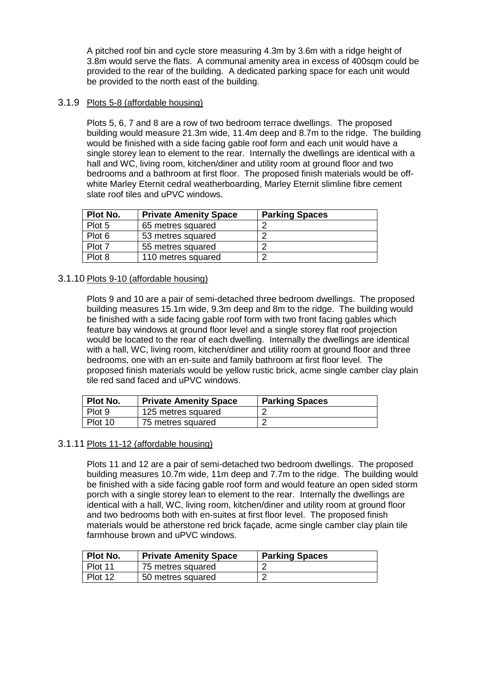A pitched roof bin and cycle store measuring 4.3m by 3.6m with a ridge height of 3.8m would serve the flats. A communal amenity area in excess of 400sqm could be provided to the rear of the building. A dedicated parking space for each unit would be provided to the north east of the building.

## 3.1.9 Plots 5-8 (affordable housing)

Plots 5, 6, 7 and 8 are a row of two bedroom terrace dwellings. The proposed building would measure 21.3m wide, 11.4m deep and 8.7m to the ridge. The building would be finished with a side facing gable roof form and each unit would have a single storey lean to element to the rear. Internally the dwellings are identical with a hall and WC, living room, kitchen/diner and utility room at ground floor and two bedrooms and a bathroom at first floor. The proposed finish materials would be offwhite Marley Eternit cedral weatherboarding, Marley Eternit slimline fibre cement slate roof tiles and uPVC windows.

| Plot No. | <b>Private Amenity Space</b> | <b>Parking Spaces</b> |
|----------|------------------------------|-----------------------|
| Plot 5   | 65 metres squared            |                       |
| Plot 6   | 53 metres squared            | ◠                     |
| Plot 7   | 55 metres squared            | ◠                     |
| Plot 8   | 110 metres squared           | ◠                     |

## 3.1.10 Plots 9-10 (affordable housing)

Plots 9 and 10 are a pair of semi-detached three bedroom dwellings. The proposed building measures 15.1m wide, 9.3m deep and 8m to the ridge. The building would be finished with a side facing gable roof form with two front facing gables which feature bay windows at ground floor level and a single storey flat roof projection would be located to the rear of each dwelling. Internally the dwellings are identical with a hall, WC, living room, kitchen/diner and utility room at ground floor and three bedrooms, one with an en-suite and family bathroom at first floor level. The proposed finish materials would be yellow rustic brick, acme single camber clay plain tile red sand faced and uPVC windows.

| Plot No. | <b>Private Amenity Space</b> | <b>Parking Spaces</b> |
|----------|------------------------------|-----------------------|
| Plot 9   | 125 metres squared           |                       |
| Plot 10  | 75 metres squared            |                       |

#### 3.1.11 Plots 11-12 (affordable housing)

Plots 11 and 12 are a pair of semi-detached two bedroom dwellings. The proposed building measures 10.7m wide, 11m deep and 7.7m to the ridge. The building would be finished with a side facing gable roof form and would feature an open sided storm porch with a single storey lean to element to the rear. Internally the dwellings are identical with a hall, WC, living room, kitchen/diner and utility room at ground floor and two bedrooms both with en-suites at first floor level. The proposed finish materials would be atherstone red brick façade, acme single camber clay plain tile farmhouse brown and uPVC windows.

| <b>Plot No.</b> | <b>Private Amenity Space</b> | <b>Parking Spaces</b> |
|-----------------|------------------------------|-----------------------|
| Plot 11         | 75 metres squared            |                       |
| Plot 12         | 50 metres squared            |                       |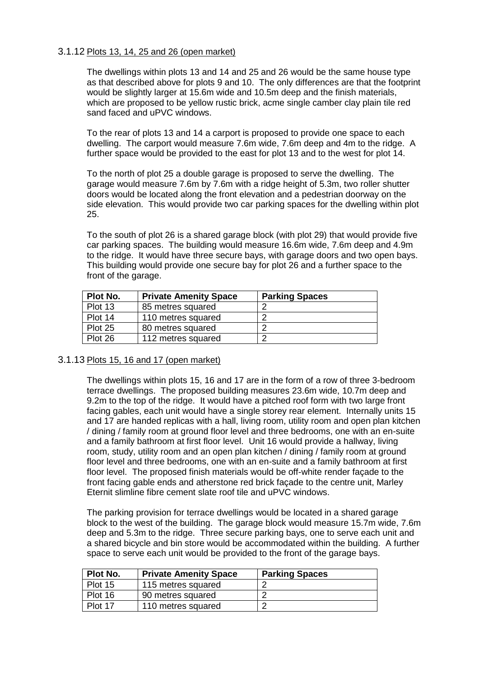#### 3.1.12 Plots 13, 14, 25 and 26 (open market)

The dwellings within plots 13 and 14 and 25 and 26 would be the same house type as that described above for plots 9 and 10. The only differences are that the footprint would be slightly larger at 15.6m wide and 10.5m deep and the finish materials, which are proposed to be yellow rustic brick, acme single camber clay plain tile red sand faced and uPVC windows.

To the rear of plots 13 and 14 a carport is proposed to provide one space to each dwelling. The carport would measure 7.6m wide, 7.6m deep and 4m to the ridge. A further space would be provided to the east for plot 13 and to the west for plot 14.

To the north of plot 25 a double garage is proposed to serve the dwelling. The garage would measure 7.6m by 7.6m with a ridge height of 5.3m, two roller shutter doors would be located along the front elevation and a pedestrian doorway on the side elevation. This would provide two car parking spaces for the dwelling within plot 25.

To the south of plot 26 is a shared garage block (with plot 29) that would provide five car parking spaces. The building would measure 16.6m wide, 7.6m deep and 4.9m to the ridge. It would have three secure bays, with garage doors and two open bays. This building would provide one secure bay for plot 26 and a further space to the front of the garage.

| Plot No. | <b>Private Amenity Space</b> | <b>Parking Spaces</b> |
|----------|------------------------------|-----------------------|
| Plot 13  | 85 metres squared            |                       |
| Plot 14  | 110 metres squared           |                       |
| Plot 25  | 80 metres squared            |                       |
| Plot 26  | 112 metres squared           |                       |

#### 3.1.13 Plots 15, 16 and 17 (open market)

The dwellings within plots 15, 16 and 17 are in the form of a row of three 3-bedroom terrace dwellings. The proposed building measures 23.6m wide, 10.7m deep and 9.2m to the top of the ridge. It would have a pitched roof form with two large front facing gables, each unit would have a single storey rear element. Internally units 15 and 17 are handed replicas with a hall, living room, utility room and open plan kitchen / dining / family room at ground floor level and three bedrooms, one with an en-suite and a family bathroom at first floor level. Unit 16 would provide a hallway, living room, study, utility room and an open plan kitchen / dining / family room at ground floor level and three bedrooms, one with an en-suite and a family bathroom at first floor level. The proposed finish materials would be off-white render façade to the front facing gable ends and atherstone red brick façade to the centre unit, Marley Eternit slimline fibre cement slate roof tile and uPVC windows.

The parking provision for terrace dwellings would be located in a shared garage block to the west of the building. The garage block would measure 15.7m wide, 7.6m deep and 5.3m to the ridge. Three secure parking bays, one to serve each unit and a shared bicycle and bin store would be accommodated within the building. A further space to serve each unit would be provided to the front of the garage bays.

| Plot No. | <b>Private Amenity Space</b> | <b>Parking Spaces</b> |
|----------|------------------------------|-----------------------|
| Plot 15  | 115 metres squared           |                       |
| Plot 16  | 90 metres squared            |                       |
| Plot 17  | 110 metres squared           |                       |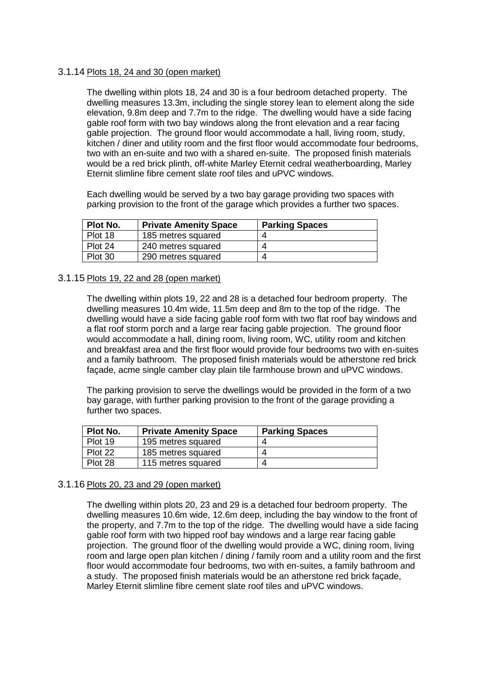#### 3.1.14 Plots 18, 24 and 30 (open market)

The dwelling within plots 18, 24 and 30 is a four bedroom detached property. The dwelling measures 13.3m, including the single storey lean to element along the side elevation, 9.8m deep and 7.7m to the ridge. The dwelling would have a side facing gable roof form with two bay windows along the front elevation and a rear facing gable projection. The ground floor would accommodate a hall, living room, study, kitchen / diner and utility room and the first floor would accommodate four bedrooms, two with an en-suite and two with a shared en-suite. The proposed finish materials would be a red brick plinth, off-white Marley Eternit cedral weatherboarding, Marley Eternit slimline fibre cement slate roof tiles and uPVC windows.

Each dwelling would be served by a two bay garage providing two spaces with parking provision to the front of the garage which provides a further two spaces.

| Plot No. | <b>Private Amenity Space</b> | <b>Parking Spaces</b> |
|----------|------------------------------|-----------------------|
| Plot 18  | 185 metres squared           | ⊿                     |
| Plot 24  | 240 metres squared           | Δ                     |
| Plot 30  | 290 metres squared           | 4                     |

#### 3.1.15 Plots 19, 22 and 28 (open market)

The dwelling within plots 19, 22 and 28 is a detached four bedroom property. The dwelling measures 10.4m wide, 11.5m deep and 8m to the top of the ridge. The dwelling would have a side facing gable roof form with two flat roof bay windows and a flat roof storm porch and a large rear facing gable projection. The ground floor would accommodate a hall, dining room, living room, WC, utility room and kitchen and breakfast area and the first floor would provide four bedrooms two with en-suites and a family bathroom. The proposed finish materials would be atherstone red brick façade, acme single camber clay plain tile farmhouse brown and uPVC windows.

The parking provision to serve the dwellings would be provided in the form of a two bay garage, with further parking provision to the front of the garage providing a further two spaces.

| Plot No. | <b>Private Amenity Space</b> | <b>Parking Spaces</b> |
|----------|------------------------------|-----------------------|
| Plot 19  | 195 metres squared           | Δ                     |
| Plot 22  | 185 metres squared           | ⊿                     |
| Plot 28  | 115 metres squared           | 4                     |

#### 3.1.16 Plots 20, 23 and 29 (open market)

The dwelling within plots 20, 23 and 29 is a detached four bedroom property. The dwelling measures 10.6m wide, 12.6m deep, including the bay window to the front of the property, and 7.7m to the top of the ridge. The dwelling would have a side facing gable roof form with two hipped roof bay windows and a large rear facing gable projection. The ground floor of the dwelling would provide a WC, dining room, living room and large open plan kitchen / dining / family room and a utility room and the first floor would accommodate four bedrooms, two with en-suites, a family bathroom and a study. The proposed finish materials would be an atherstone red brick façade, Marley Eternit slimline fibre cement slate roof tiles and uPVC windows.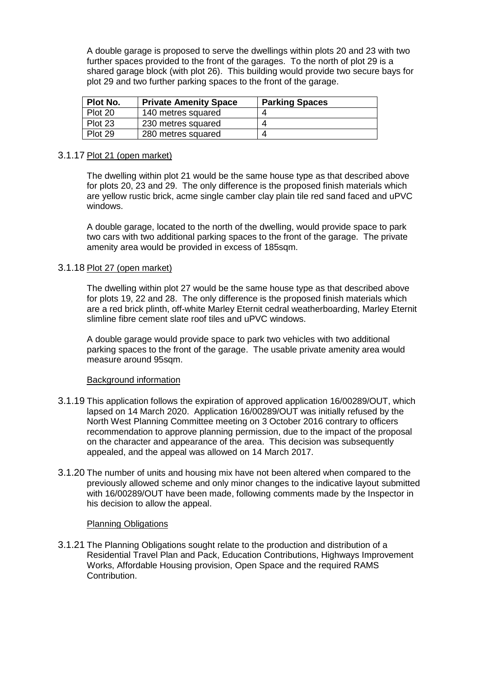A double garage is proposed to serve the dwellings within plots 20 and 23 with two further spaces provided to the front of the garages. To the north of plot 29 is a shared garage block (with plot 26). This building would provide two secure bays for plot 29 and two further parking spaces to the front of the garage.

| Plot No. | <b>Private Amenity Space</b> | <b>Parking Spaces</b> |
|----------|------------------------------|-----------------------|
| Plot 20  | 140 metres squared           |                       |
| Plot 23  | 230 metres squared           | ⊿                     |
| Plot 29  | 280 metres squared           | 4                     |

#### 3.1.17 Plot 21 (open market)

The dwelling within plot 21 would be the same house type as that described above for plots 20, 23 and 29. The only difference is the proposed finish materials which are yellow rustic brick, acme single camber clay plain tile red sand faced and uPVC windows.

A double garage, located to the north of the dwelling, would provide space to park two cars with two additional parking spaces to the front of the garage. The private amenity area would be provided in excess of 185sqm.

#### 3.1.18 Plot 27 (open market)

The dwelling within plot 27 would be the same house type as that described above for plots 19, 22 and 28. The only difference is the proposed finish materials which are a red brick plinth, off-white Marley Eternit cedral weatherboarding, Marley Eternit slimline fibre cement slate roof tiles and uPVC windows.

A double garage would provide space to park two vehicles with two additional parking spaces to the front of the garage. The usable private amenity area would measure around 95sqm.

#### Background information

- 3.1.19 This application follows the expiration of approved application 16/00289/OUT, which lapsed on 14 March 2020. Application 16/00289/OUT was initially refused by the North West Planning Committee meeting on 3 October 2016 contrary to officers recommendation to approve planning permission, due to the impact of the proposal on the character and appearance of the area. This decision was subsequently appealed, and the appeal was allowed on 14 March 2017.
- 3.1.20 The number of units and housing mix have not been altered when compared to the previously allowed scheme and only minor changes to the indicative layout submitted with 16/00289/OUT have been made, following comments made by the Inspector in his decision to allow the appeal.

#### Planning Obligations

3.1.21 The Planning Obligations sought relate to the production and distribution of a Residential Travel Plan and Pack, Education Contributions, Highways Improvement Works, Affordable Housing provision, Open Space and the required RAMS Contribution.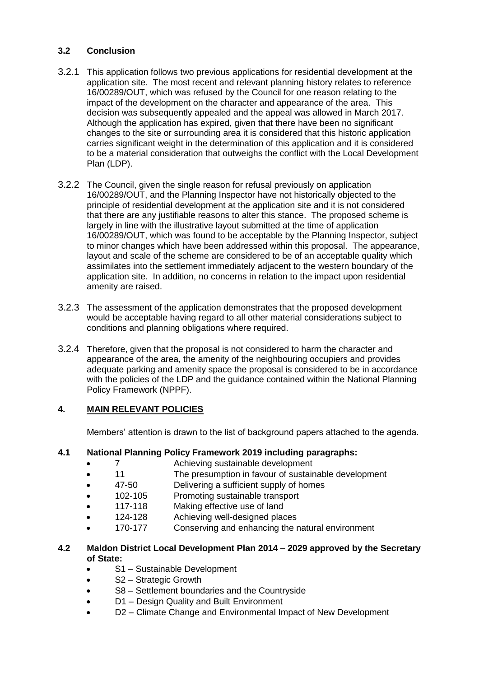## **3.2 Conclusion**

- 3.2.1 This application follows two previous applications for residential development at the application site. The most recent and relevant planning history relates to reference 16/00289/OUT, which was refused by the Council for one reason relating to the impact of the development on the character and appearance of the area. This decision was subsequently appealed and the appeal was allowed in March 2017. Although the application has expired, given that there have been no significant changes to the site or surrounding area it is considered that this historic application carries significant weight in the determination of this application and it is considered to be a material consideration that outweighs the conflict with the Local Development Plan (LDP).
- 3.2.2 The Council, given the single reason for refusal previously on application 16/00289/OUT, and the Planning Inspector have not historically objected to the principle of residential development at the application site and it is not considered that there are any justifiable reasons to alter this stance. The proposed scheme is largely in line with the illustrative layout submitted at the time of application 16/00289/OUT, which was found to be acceptable by the Planning Inspector, subject to minor changes which have been addressed within this proposal. The appearance, layout and scale of the scheme are considered to be of an acceptable quality which assimilates into the settlement immediately adjacent to the western boundary of the application site. In addition, no concerns in relation to the impact upon residential amenity are raised.
- 3.2.3 The assessment of the application demonstrates that the proposed development would be acceptable having regard to all other material considerations subject to conditions and planning obligations where required.
- 3.2.4 Therefore, given that the proposal is not considered to harm the character and appearance of the area, the amenity of the neighbouring occupiers and provides adequate parking and amenity space the proposal is considered to be in accordance with the policies of the LDP and the guidance contained within the National Planning Policy Framework (NPPF).

## **4. MAIN RELEVANT POLICIES**

Members' attention is drawn to the list of background papers attached to the agenda.

## **4.1 National Planning Policy Framework 2019 including paragraphs:**

- 7 Achieving sustainable development
- 11 The presumption in favour of sustainable development
- 47-50 Delivering a sufficient supply of homes
- 102-105 Promoting sustainable transport
- 117-118 Making effective use of land
- 124-128 Achieving well-designed places
- 170-177 Conserving and enhancing the natural environment

#### **4.2 Maldon District Local Development Plan 2014 – 2029 approved by the Secretary of State:**

- S1 Sustainable Development
- S2 Strategic Growth
- S8 Settlement boundaries and the Countryside
- D1 Design Quality and Built Environment
- D2 Climate Change and Environmental Impact of New Development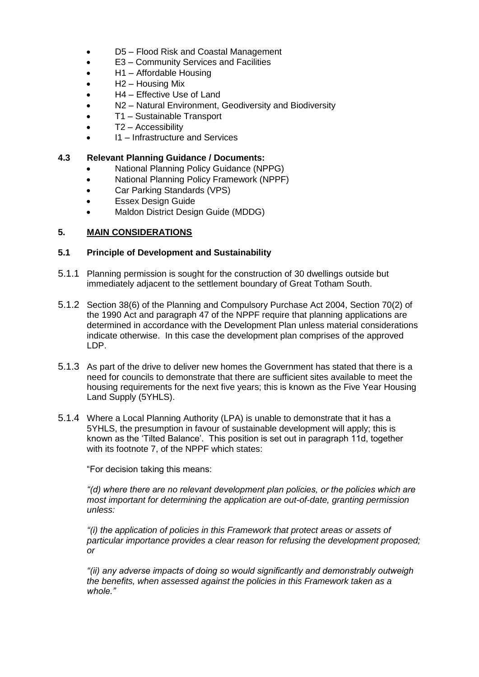- D5 Flood Risk and Coastal Management
- E3 Community Services and Facilities
- H1 Affordable Housing
- H2 Housing Mix
- H4 Effective Use of Land
- N2 Natural Environment, Geodiversity and Biodiversity
- T1 Sustainable Transport
- T2 Accessibility
- I1 Infrastructure and Services

#### **4.3 Relevant Planning Guidance / Documents:**

- National Planning Policy Guidance (NPPG)
- National Planning Policy Framework (NPPF)
- Car Parking Standards (VPS)
- Essex Design Guide
- Maldon District Design Guide (MDDG)

## **5. MAIN CONSIDERATIONS**

#### **5.1 Principle of Development and Sustainability**

- 5.1.1 Planning permission is sought for the construction of 30 dwellings outside but immediately adjacent to the settlement boundary of Great Totham South.
- 5.1.2 Section 38(6) of the Planning and Compulsory Purchase Act 2004, Section 70(2) of the 1990 Act and paragraph 47 of the NPPF require that planning applications are determined in accordance with the Development Plan unless material considerations indicate otherwise. In this case the development plan comprises of the approved LDP.
- 5.1.3 As part of the drive to deliver new homes the Government has stated that there is a need for councils to demonstrate that there are sufficient sites available to meet the housing requirements for the next five years; this is known as the Five Year Housing Land Supply (5YHLS).
- 5.1.4 Where a Local Planning Authority (LPA) is unable to demonstrate that it has a 5YHLS, the presumption in favour of sustainable development will apply; this is known as the 'Tilted Balance'. This position is set out in paragraph 11d, together with its footnote 7, of the NPPF which states:

"For decision taking this means:

*"(d) where there are no relevant development plan policies, or the policies which are most important for determining the application are out-of-date, granting permission unless:*

*"(i) the application of policies in this Framework that protect areas or assets of particular importance provides a clear reason for refusing the development proposed; or*

*"(ii) any adverse impacts of doing so would significantly and demonstrably outweigh the benefits, when assessed against the policies in this Framework taken as a whole."*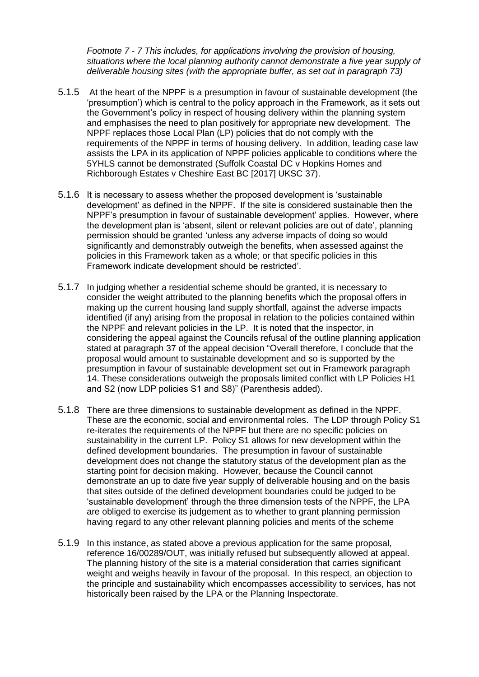*Footnote 7 - 7 This includes, for applications involving the provision of housing, situations where the local planning authority cannot demonstrate a five year supply of deliverable housing sites (with the appropriate buffer, as set out in paragraph 73)*

- 5.1.5 At the heart of the NPPF is a presumption in favour of sustainable development (the 'presumption') which is central to the policy approach in the Framework, as it sets out the Government's policy in respect of housing delivery within the planning system and emphasises the need to plan positively for appropriate new development. The NPPF replaces those Local Plan (LP) policies that do not comply with the requirements of the NPPF in terms of housing delivery. In addition, leading case law assists the LPA in its application of NPPF policies applicable to conditions where the 5YHLS cannot be demonstrated (Suffolk Coastal DC v Hopkins Homes and Richborough Estates v Cheshire East BC [2017] UKSC 37).
- 5.1.6 It is necessary to assess whether the proposed development is 'sustainable development' as defined in the NPPF. If the site is considered sustainable then the NPPF's presumption in favour of sustainable development' applies. However, where the development plan is 'absent, silent or relevant policies are out of date', planning permission should be granted 'unless any adverse impacts of doing so would significantly and demonstrably outweigh the benefits, when assessed against the policies in this Framework taken as a whole; or that specific policies in this Framework indicate development should be restricted'.
- 5.1.7 In judging whether a residential scheme should be granted, it is necessary to consider the weight attributed to the planning benefits which the proposal offers in making up the current housing land supply shortfall, against the adverse impacts identified (if any) arising from the proposal in relation to the policies contained within the NPPF and relevant policies in the LP. It is noted that the inspector, in considering the appeal against the Councils refusal of the outline planning application stated at paragraph 37 of the appeal decision "Overall therefore, I conclude that the proposal would amount to sustainable development and so is supported by the presumption in favour of sustainable development set out in Framework paragraph 14. These considerations outweigh the proposals limited conflict with LP Policies H1 and S2 (now LDP policies S1 and S8)" (Parenthesis added).
- 5.1.8 There are three dimensions to sustainable development as defined in the NPPF. These are the economic, social and environmental roles. The LDP through Policy S1 re-iterates the requirements of the NPPF but there are no specific policies on sustainability in the current LP. Policy S1 allows for new development within the defined development boundaries. The presumption in favour of sustainable development does not change the statutory status of the development plan as the starting point for decision making. However, because the Council cannot demonstrate an up to date five year supply of deliverable housing and on the basis that sites outside of the defined development boundaries could be judged to be 'sustainable development' through the three dimension tests of the NPPF, the LPA are obliged to exercise its judgement as to whether to grant planning permission having regard to any other relevant planning policies and merits of the scheme
- 5.1.9 In this instance, as stated above a previous application for the same proposal, reference 16/00289/OUT, was initially refused but subsequently allowed at appeal. The planning history of the site is a material consideration that carries significant weight and weighs heavily in favour of the proposal. In this respect, an objection to the principle and sustainability which encompasses accessibility to services, has not historically been raised by the LPA or the Planning Inspectorate.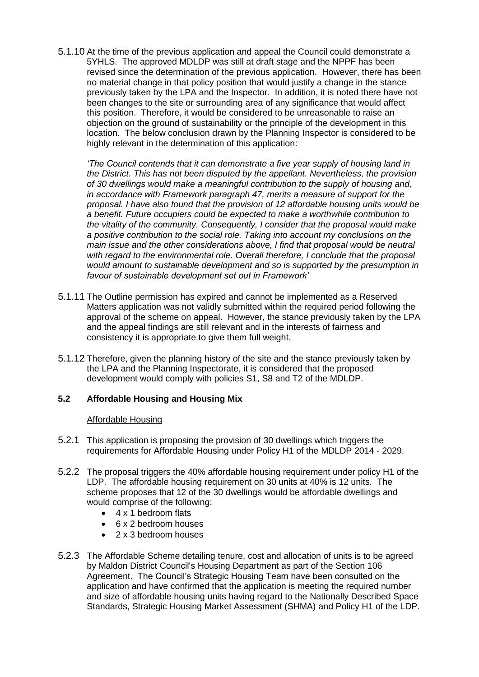5.1.10 At the time of the previous application and appeal the Council could demonstrate a 5YHLS. The approved MDLDP was still at draft stage and the NPPF has been revised since the determination of the previous application. However, there has been no material change in that policy position that would justify a change in the stance previously taken by the LPA and the Inspector. In addition, it is noted there have not been changes to the site or surrounding area of any significance that would affect this position. Therefore, it would be considered to be unreasonable to raise an objection on the ground of sustainability or the principle of the development in this location. The below conclusion drawn by the Planning Inspector is considered to be highly relevant in the determination of this application:

*'The Council contends that it can demonstrate a five year supply of housing land in the District. This has not been disputed by the appellant. Nevertheless, the provision of 30 dwellings would make a meaningful contribution to the supply of housing and, in accordance with Framework paragraph 47, merits a measure of support for the proposal. I have also found that the provision of 12 affordable housing units would be a benefit. Future occupiers could be expected to make a worthwhile contribution to the vitality of the community. Consequently, I consider that the proposal would make a positive contribution to the social role. Taking into account my conclusions on the main issue and the other considerations above, I find that proposal would be neutral with regard to the environmental role. Overall therefore, I conclude that the proposal would amount to sustainable development and so is supported by the presumption in favour of sustainable development set out in Framework'*

- 5.1.11 The Outline permission has expired and cannot be implemented as a Reserved Matters application was not validly submitted within the required period following the approval of the scheme on appeal. However, the stance previously taken by the LPA and the appeal findings are still relevant and in the interests of fairness and consistency it is appropriate to give them full weight.
- 5.1.12 Therefore, given the planning history of the site and the stance previously taken by the LPA and the Planning Inspectorate, it is considered that the proposed development would comply with policies S1, S8 and T2 of the MDLDP.

#### **5.2 Affordable Housing and Housing Mix**

#### Affordable Housing

- 5.2.1 This application is proposing the provision of 30 dwellings which triggers the requirements for Affordable Housing under Policy H1 of the MDLDP 2014 - 2029.
- 5.2.2 The proposal triggers the 40% affordable housing requirement under policy H1 of the LDP. The affordable housing requirement on 30 units at 40% is 12 units. The scheme proposes that 12 of the 30 dwellings would be affordable dwellings and would comprise of the following:
	- 4 x 1 bedroom flats
	- 6 x 2 bedroom houses
	- 2 x 3 bedroom houses
- 5.2.3 The Affordable Scheme detailing tenure, cost and allocation of units is to be agreed by Maldon District Council's Housing Department as part of the Section 106 Agreement. The Council's Strategic Housing Team have been consulted on the application and have confirmed that the application is meeting the required number and size of affordable housing units having regard to the Nationally Described Space Standards, Strategic Housing Market Assessment (SHMA) and Policy H1 of the LDP.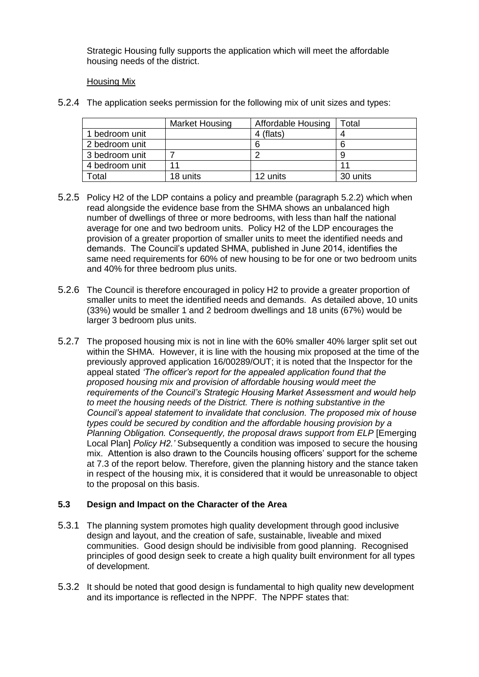Strategic Housing fully supports the application which will meet the affordable housing needs of the district.

## Housing Mix

5.2.4 The application seeks permission for the following mix of unit sizes and types:

|                | <b>Market Housing</b> | <b>Affordable Housing</b> | ™otal    |
|----------------|-----------------------|---------------------------|----------|
| 1 bedroom unit |                       | 4 (flats)                 |          |
| 2 bedroom unit |                       |                           |          |
| 3 bedroom unit |                       |                           |          |
| 4 bedroom unit |                       |                           |          |
| Total          | 18 units              | 12 units                  | 30 units |

- 5.2.5 Policy H2 of the LDP contains a policy and preamble (paragraph 5.2.2) which when read alongside the evidence base from the SHMA shows an unbalanced high number of dwellings of three or more bedrooms, with less than half the national average for one and two bedroom units. Policy H2 of the LDP encourages the provision of a greater proportion of smaller units to meet the identified needs and demands. The Council's updated SHMA, published in June 2014, identifies the same need requirements for 60% of new housing to be for one or two bedroom units and 40% for three bedroom plus units.
- 5.2.6 The Council is therefore encouraged in policy H2 to provide a greater proportion of smaller units to meet the identified needs and demands. As detailed above, 10 units (33%) would be smaller 1 and 2 bedroom dwellings and 18 units (67%) would be larger 3 bedroom plus units.
- 5.2.7 The proposed housing mix is not in line with the 60% smaller 40% larger split set out within the SHMA. However, it is line with the housing mix proposed at the time of the previously approved application 16/00289/OUT; it is noted that the Inspector for the appeal stated *'The officer's report for the appealed application found that the proposed housing mix and provision of affordable housing would meet the requirements of the Council's Strategic Housing Market Assessment and would help to meet the housing needs of the District. There is nothing substantive in the Council's appeal statement to invalidate that conclusion. The proposed mix of house types could be secured by condition and the affordable housing provision by a Planning Obligation. Consequently, the proposal draws support from ELP* [Emerging Local Plan] *Policy H2.'* Subsequently a condition was imposed to secure the housing mix. Attention is also drawn to the Councils housing officers' support for the scheme at 7.3 of the report below. Therefore, given the planning history and the stance taken in respect of the housing mix, it is considered that it would be unreasonable to object to the proposal on this basis.

## **5.3 Design and Impact on the Character of the Area**

- 5.3.1 The planning system promotes high quality development through good inclusive design and layout, and the creation of safe, sustainable, liveable and mixed communities. Good design should be indivisible from good planning. Recognised principles of good design seek to create a high quality built environment for all types of development.
- 5.3.2 It should be noted that good design is fundamental to high quality new development and its importance is reflected in the NPPF. The NPPF states that: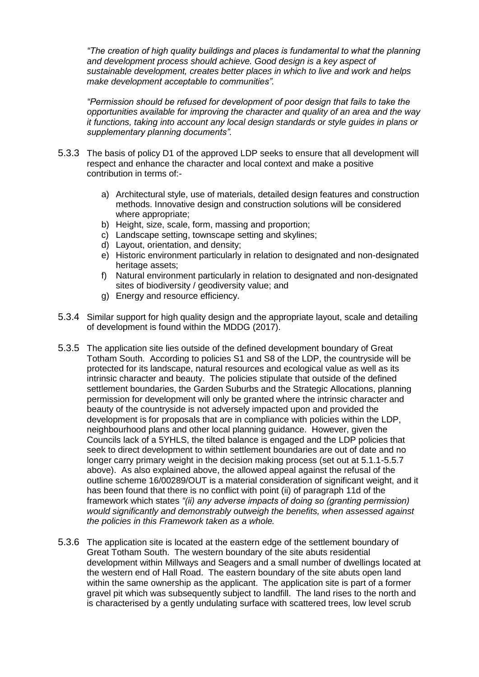*"The creation of high quality buildings and places is fundamental to what the planning and development process should achieve. Good design is a key aspect of sustainable development, creates better places in which to live and work and helps make development acceptable to communities".* 

*"Permission should be refused for development of poor design that fails to take the opportunities available for improving the character and quality of an area and the way it functions, taking into account any local design standards or style guides in plans or supplementary planning documents".*

- 5.3.3 The basis of policy D1 of the approved LDP seeks to ensure that all development will respect and enhance the character and local context and make a positive contribution in terms of:
	- a) Architectural style, use of materials, detailed design features and construction methods. Innovative design and construction solutions will be considered where appropriate;
	- b) Height, size, scale, form, massing and proportion;
	- c) Landscape setting, townscape setting and skylines;
	- d) Layout, orientation, and density;
	- e) Historic environment particularly in relation to designated and non-designated heritage assets;
	- f) Natural environment particularly in relation to designated and non-designated sites of biodiversity / geodiversity value; and
	- g) Energy and resource efficiency.
- 5.3.4 Similar support for high quality design and the appropriate layout, scale and detailing of development is found within the MDDG (2017).
- 5.3.5 The application site lies outside of the defined development boundary of Great Totham South. According to policies S1 and S8 of the LDP, the countryside will be protected for its landscape, natural resources and ecological value as well as its intrinsic character and beauty. The policies stipulate that outside of the defined settlement boundaries, the Garden Suburbs and the Strategic Allocations, planning permission for development will only be granted where the intrinsic character and beauty of the countryside is not adversely impacted upon and provided the development is for proposals that are in compliance with policies within the LDP, neighbourhood plans and other local planning guidance. However, given the Councils lack of a 5YHLS, the tilted balance is engaged and the LDP policies that seek to direct development to within settlement boundaries are out of date and no longer carry primary weight in the decision making process (set out at 5.1.1-5.5.7 above). As also explained above, the allowed appeal against the refusal of the outline scheme 16/00289/OUT is a material consideration of significant weight, and it has been found that there is no conflict with point (ii) of paragraph 11d of the framework which states *"(ii) any adverse impacts of doing so (granting permission) would significantly and demonstrably outweigh the benefits, when assessed against the policies in this Framework taken as a whole.*
- 5.3.6 The application site is located at the eastern edge of the settlement boundary of Great Totham South. The western boundary of the site abuts residential development within Millways and Seagers and a small number of dwellings located at the western end of Hall Road. The eastern boundary of the site abuts open land within the same ownership as the applicant. The application site is part of a former gravel pit which was subsequently subject to landfill. The land rises to the north and is characterised by a gently undulating surface with scattered trees, low level scrub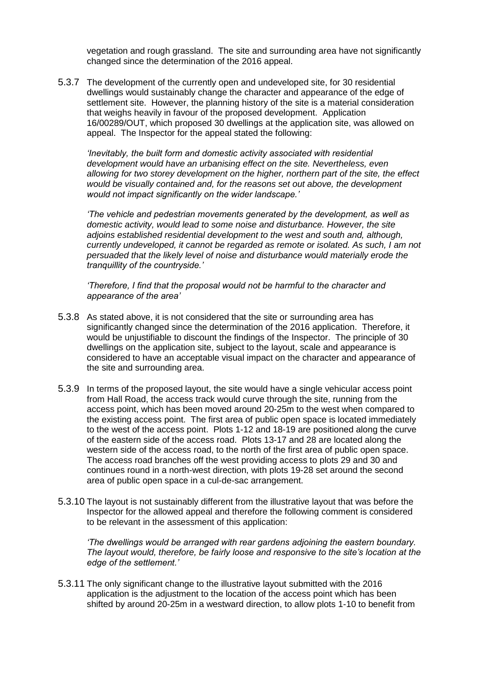vegetation and rough grassland. The site and surrounding area have not significantly changed since the determination of the 2016 appeal.

5.3.7 The development of the currently open and undeveloped site, for 30 residential dwellings would sustainably change the character and appearance of the edge of settlement site. However, the planning history of the site is a material consideration that weighs heavily in favour of the proposed development. Application 16/00289/OUT, which proposed 30 dwellings at the application site, was allowed on appeal. The Inspector for the appeal stated the following:

*'Inevitably, the built form and domestic activity associated with residential development would have an urbanising effect on the site. Nevertheless, even allowing for two storey development on the higher, northern part of the site, the effect would be visually contained and, for the reasons set out above, the development would not impact significantly on the wider landscape.'*

*'The vehicle and pedestrian movements generated by the development, as well as domestic activity, would lead to some noise and disturbance. However, the site adjoins established residential development to the west and south and, although, currently undeveloped, it cannot be regarded as remote or isolated. As such, I am not persuaded that the likely level of noise and disturbance would materially erode the tranquillity of the countryside.'*

*'Therefore, I find that the proposal would not be harmful to the character and appearance of the area'*

- 5.3.8 As stated above, it is not considered that the site or surrounding area has significantly changed since the determination of the 2016 application. Therefore, it would be unjustifiable to discount the findings of the Inspector. The principle of 30 dwellings on the application site, subject to the layout, scale and appearance is considered to have an acceptable visual impact on the character and appearance of the site and surrounding area.
- 5.3.9 In terms of the proposed layout, the site would have a single vehicular access point from Hall Road, the access track would curve through the site, running from the access point, which has been moved around 20-25m to the west when compared to the existing access point. The first area of public open space is located immediately to the west of the access point. Plots 1-12 and 18-19 are positioned along the curve of the eastern side of the access road. Plots 13-17 and 28 are located along the western side of the access road, to the north of the first area of public open space. The access road branches off the west providing access to plots 29 and 30 and continues round in a north-west direction, with plots 19-28 set around the second area of public open space in a cul-de-sac arrangement.
- 5.3.10 The layout is not sustainably different from the illustrative layout that was before the Inspector for the allowed appeal and therefore the following comment is considered to be relevant in the assessment of this application:

*'The dwellings would be arranged with rear gardens adjoining the eastern boundary. The layout would, therefore, be fairly loose and responsive to the site's location at the edge of the settlement.'*

5.3.11 The only significant change to the illustrative layout submitted with the 2016 application is the adjustment to the location of the access point which has been shifted by around 20-25m in a westward direction, to allow plots 1-10 to benefit from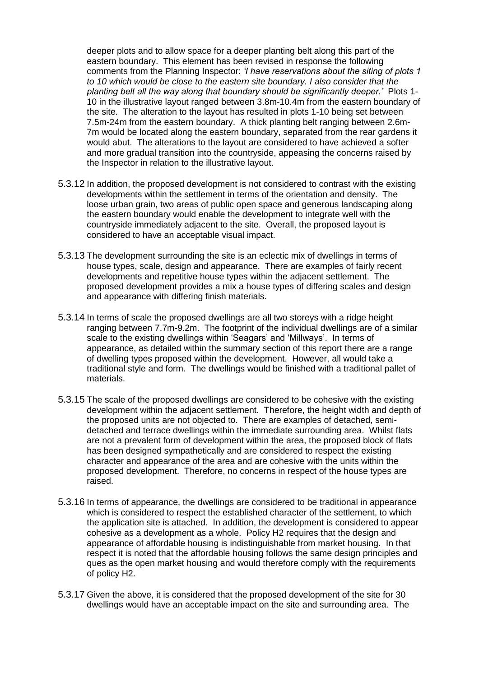deeper plots and to allow space for a deeper planting belt along this part of the eastern boundary. This element has been revised in response the following comments from the Planning Inspector: *'I have reservations about the siting of plots 1 to 10 which would be close to the eastern site boundary. I also consider that the planting belt all the way along that boundary should be significantly deeper.'* Plots 1- 10 in the illustrative layout ranged between 3.8m-10.4m from the eastern boundary of the site. The alteration to the layout has resulted in plots 1-10 being set between 7.5m-24m from the eastern boundary. A thick planting belt ranging between 2.6m-7m would be located along the eastern boundary, separated from the rear gardens it would abut. The alterations to the layout are considered to have achieved a softer and more gradual transition into the countryside, appeasing the concerns raised by the Inspector in relation to the illustrative layout.

- 5.3.12 In addition, the proposed development is not considered to contrast with the existing developments within the settlement in terms of the orientation and density. The loose urban grain, two areas of public open space and generous landscaping along the eastern boundary would enable the development to integrate well with the countryside immediately adjacent to the site. Overall, the proposed layout is considered to have an acceptable visual impact.
- 5.3.13 The development surrounding the site is an eclectic mix of dwellings in terms of house types, scale, design and appearance. There are examples of fairly recent developments and repetitive house types within the adjacent settlement. The proposed development provides a mix a house types of differing scales and design and appearance with differing finish materials.
- 5.3.14 In terms of scale the proposed dwellings are all two storeys with a ridge height ranging between 7.7m-9.2m. The footprint of the individual dwellings are of a similar scale to the existing dwellings within 'Seagars' and 'Millways'. In terms of appearance, as detailed within the summary section of this report there are a range of dwelling types proposed within the development. However, all would take a traditional style and form. The dwellings would be finished with a traditional pallet of materials.
- 5.3.15 The scale of the proposed dwellings are considered to be cohesive with the existing development within the adjacent settlement. Therefore, the height width and depth of the proposed units are not objected to. There are examples of detached, semidetached and terrace dwellings within the immediate surrounding area. Whilst flats are not a prevalent form of development within the area, the proposed block of flats has been designed sympathetically and are considered to respect the existing character and appearance of the area and are cohesive with the units within the proposed development. Therefore, no concerns in respect of the house types are raised.
- 5.3.16 In terms of appearance, the dwellings are considered to be traditional in appearance which is considered to respect the established character of the settlement, to which the application site is attached. In addition, the development is considered to appear cohesive as a development as a whole. Policy H2 requires that the design and appearance of affordable housing is indistinguishable from market housing. In that respect it is noted that the affordable housing follows the same design principles and ques as the open market housing and would therefore comply with the requirements of policy H2.
- 5.3.17 Given the above, it is considered that the proposed development of the site for 30 dwellings would have an acceptable impact on the site and surrounding area. The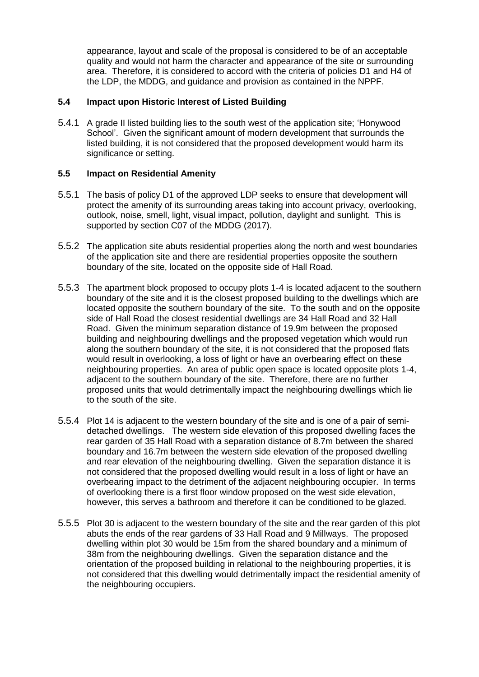appearance, layout and scale of the proposal is considered to be of an acceptable quality and would not harm the character and appearance of the site or surrounding area. Therefore, it is considered to accord with the criteria of policies D1 and H4 of the LDP, the MDDG, and guidance and provision as contained in the NPPF.

## **5.4 Impact upon Historic Interest of Listed Building**

5.4.1 A grade II listed building lies to the south west of the application site; 'Honywood School'. Given the significant amount of modern development that surrounds the listed building, it is not considered that the proposed development would harm its significance or setting.

### **5.5 Impact on Residential Amenity**

- 5.5.1 The basis of policy D1 of the approved LDP seeks to ensure that development will protect the amenity of its surrounding areas taking into account privacy, overlooking, outlook, noise, smell, light, visual impact, pollution, daylight and sunlight. This is supported by section C07 of the MDDG (2017).
- 5.5.2 The application site abuts residential properties along the north and west boundaries of the application site and there are residential properties opposite the southern boundary of the site, located on the opposite side of Hall Road.
- 5.5.3 The apartment block proposed to occupy plots 1-4 is located adjacent to the southern boundary of the site and it is the closest proposed building to the dwellings which are located opposite the southern boundary of the site. To the south and on the opposite side of Hall Road the closest residential dwellings are 34 Hall Road and 32 Hall Road. Given the minimum separation distance of 19.9m between the proposed building and neighbouring dwellings and the proposed vegetation which would run along the southern boundary of the site, it is not considered that the proposed flats would result in overlooking, a loss of light or have an overbearing effect on these neighbouring properties. An area of public open space is located opposite plots 1-4, adjacent to the southern boundary of the site. Therefore, there are no further proposed units that would detrimentally impact the neighbouring dwellings which lie to the south of the site.
- 5.5.4 Plot 14 is adjacent to the western boundary of the site and is one of a pair of semidetached dwellings. The western side elevation of this proposed dwelling faces the rear garden of 35 Hall Road with a separation distance of 8.7m between the shared boundary and 16.7m between the western side elevation of the proposed dwelling and rear elevation of the neighbouring dwelling. Given the separation distance it is not considered that the proposed dwelling would result in a loss of light or have an overbearing impact to the detriment of the adjacent neighbouring occupier. In terms of overlooking there is a first floor window proposed on the west side elevation, however, this serves a bathroom and therefore it can be conditioned to be glazed.
- 5.5.5 Plot 30 is adjacent to the western boundary of the site and the rear garden of this plot abuts the ends of the rear gardens of 33 Hall Road and 9 Millways. The proposed dwelling within plot 30 would be 15m from the shared boundary and a minimum of 38m from the neighbouring dwellings. Given the separation distance and the orientation of the proposed building in relational to the neighbouring properties, it is not considered that this dwelling would detrimentally impact the residential amenity of the neighbouring occupiers.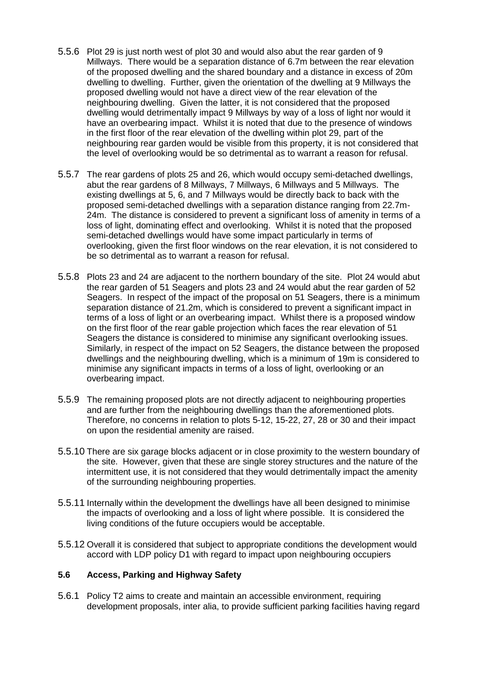- 5.5.6 Plot 29 is just north west of plot 30 and would also abut the rear garden of 9 Millways. There would be a separation distance of 6.7m between the rear elevation of the proposed dwelling and the shared boundary and a distance in excess of 20m dwelling to dwelling. Further, given the orientation of the dwelling at 9 Millways the proposed dwelling would not have a direct view of the rear elevation of the neighbouring dwelling. Given the latter, it is not considered that the proposed dwelling would detrimentally impact 9 Millways by way of a loss of light nor would it have an overbearing impact. Whilst it is noted that due to the presence of windows in the first floor of the rear elevation of the dwelling within plot 29, part of the neighbouring rear garden would be visible from this property, it is not considered that the level of overlooking would be so detrimental as to warrant a reason for refusal.
- 5.5.7 The rear gardens of plots 25 and 26, which would occupy semi-detached dwellings, abut the rear gardens of 8 Millways, 7 Millways, 6 Millways and 5 Millways. The existing dwellings at 5, 6, and 7 Millways would be directly back to back with the proposed semi-detached dwellings with a separation distance ranging from 22.7m-24m. The distance is considered to prevent a significant loss of amenity in terms of a loss of light, dominating effect and overlooking. Whilst it is noted that the proposed semi-detached dwellings would have some impact particularly in terms of overlooking, given the first floor windows on the rear elevation, it is not considered to be so detrimental as to warrant a reason for refusal.
- 5.5.8 Plots 23 and 24 are adjacent to the northern boundary of the site. Plot 24 would abut the rear garden of 51 Seagers and plots 23 and 24 would abut the rear garden of 52 Seagers. In respect of the impact of the proposal on 51 Seagers, there is a minimum separation distance of 21.2m, which is considered to prevent a significant impact in terms of a loss of light or an overbearing impact. Whilst there is a proposed window on the first floor of the rear gable projection which faces the rear elevation of 51 Seagers the distance is considered to minimise any significant overlooking issues. Similarly, in respect of the impact on 52 Seagers, the distance between the proposed dwellings and the neighbouring dwelling, which is a minimum of 19m is considered to minimise any significant impacts in terms of a loss of light, overlooking or an overbearing impact.
- 5.5.9 The remaining proposed plots are not directly adjacent to neighbouring properties and are further from the neighbouring dwellings than the aforementioned plots. Therefore, no concerns in relation to plots 5-12, 15-22, 27, 28 or 30 and their impact on upon the residential amenity are raised.
- 5.5.10 There are six garage blocks adjacent or in close proximity to the western boundary of the site. However, given that these are single storey structures and the nature of the intermittent use, it is not considered that they would detrimentally impact the amenity of the surrounding neighbouring properties.
- 5.5.11 Internally within the development the dwellings have all been designed to minimise the impacts of overlooking and a loss of light where possible. It is considered the living conditions of the future occupiers would be acceptable.
- 5.5.12 Overall it is considered that subject to appropriate conditions the development would accord with LDP policy D1 with regard to impact upon neighbouring occupiers

#### **5.6 Access, Parking and Highway Safety**

5.6.1 Policy T2 aims to create and maintain an accessible environment, requiring development proposals, inter alia, to provide sufficient parking facilities having regard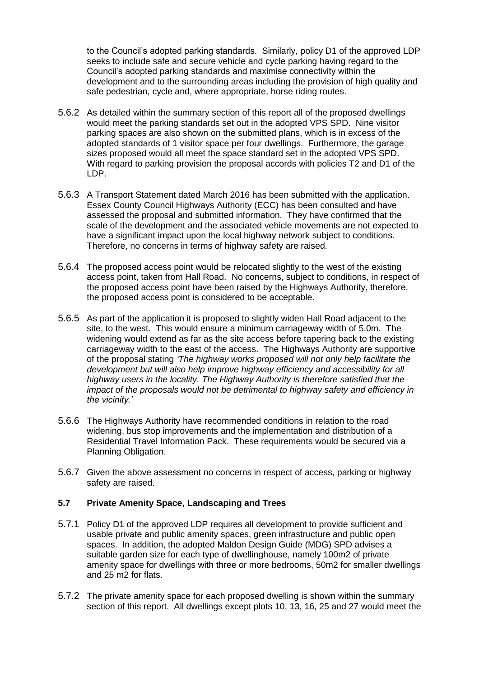to the Council's adopted parking standards. Similarly, policy D1 of the approved LDP seeks to include safe and secure vehicle and cycle parking having regard to the Council's adopted parking standards and maximise connectivity within the development and to the surrounding areas including the provision of high quality and safe pedestrian, cycle and, where appropriate, horse riding routes.

- 5.6.2 As detailed within the summary section of this report all of the proposed dwellings would meet the parking standards set out in the adopted VPS SPD. Nine visitor parking spaces are also shown on the submitted plans, which is in excess of the adopted standards of 1 visitor space per four dwellings. Furthermore, the garage sizes proposed would all meet the space standard set in the adopted VPS SPD. With regard to parking provision the proposal accords with policies T2 and D1 of the LDP.
- 5.6.3 A Transport Statement dated March 2016 has been submitted with the application. Essex County Council Highways Authority (ECC) has been consulted and have assessed the proposal and submitted information. They have confirmed that the scale of the development and the associated vehicle movements are not expected to have a significant impact upon the local highway network subject to conditions. Therefore, no concerns in terms of highway safety are raised.
- 5.6.4 The proposed access point would be relocated slightly to the west of the existing access point, taken from Hall Road. No concerns, subject to conditions, in respect of the proposed access point have been raised by the Highways Authority, therefore, the proposed access point is considered to be acceptable.
- 5.6.5 As part of the application it is proposed to slightly widen Hall Road adjacent to the site, to the west. This would ensure a minimum carriageway width of 5.0m. The widening would extend as far as the site access before tapering back to the existing carriageway width to the east of the access. The Highways Authority are supportive of the proposal stating *'The highway works proposed will not only help facilitate the development but will also help improve highway efficiency and accessibility for all highway users in the locality. The Highway Authority is therefore satisfied that the impact of the proposals would not be detrimental to highway safety and efficiency in the vicinity.'*
- 5.6.6 The Highways Authority have recommended conditions in relation to the road widening, bus stop improvements and the implementation and distribution of a Residential Travel Information Pack. These requirements would be secured via a Planning Obligation.
- 5.6.7 Given the above assessment no concerns in respect of access, parking or highway safety are raised.

## **5.7 Private Amenity Space, Landscaping and Trees**

- 5.7.1 Policy D1 of the approved LDP requires all development to provide sufficient and usable private and public amenity spaces, green infrastructure and public open spaces. In addition, the adopted Maldon Design Guide (MDG) SPD advises a suitable garden size for each type of dwellinghouse, namely 100m2 of private amenity space for dwellings with three or more bedrooms, 50m2 for smaller dwellings and 25 m2 for flats.
- 5.7.2 The private amenity space for each proposed dwelling is shown within the summary section of this report. All dwellings except plots 10, 13, 16, 25 and 27 would meet the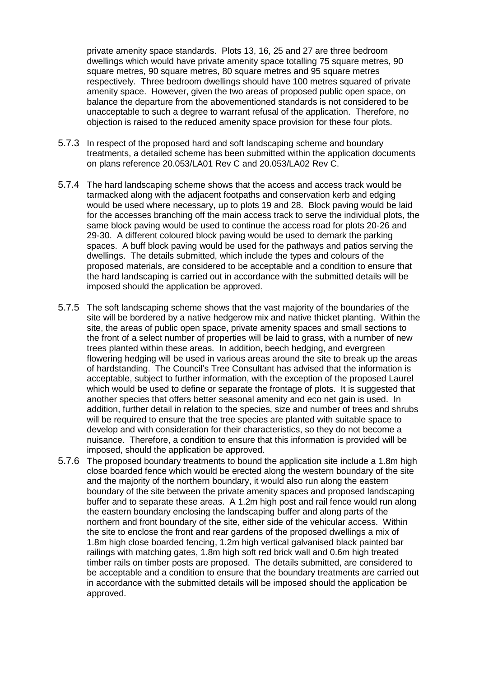private amenity space standards. Plots 13, 16, 25 and 27 are three bedroom dwellings which would have private amenity space totalling 75 square metres, 90 square metres, 90 square metres, 80 square metres and 95 square metres respectively. Three bedroom dwellings should have 100 metres squared of private amenity space. However, given the two areas of proposed public open space, on balance the departure from the abovementioned standards is not considered to be unacceptable to such a degree to warrant refusal of the application. Therefore, no objection is raised to the reduced amenity space provision for these four plots.

- 5.7.3 In respect of the proposed hard and soft landscaping scheme and boundary treatments, a detailed scheme has been submitted within the application documents on plans reference 20.053/LA01 Rev C and 20.053/LA02 Rev C.
- 5.7.4 The hard landscaping scheme shows that the access and access track would be tarmacked along with the adjacent footpaths and conservation kerb and edging would be used where necessary, up to plots 19 and 28. Block paving would be laid for the accesses branching off the main access track to serve the individual plots, the same block paving would be used to continue the access road for plots 20-26 and 29-30. A different coloured block paving would be used to demark the parking spaces. A buff block paving would be used for the pathways and patios serving the dwellings. The details submitted, which include the types and colours of the proposed materials, are considered to be acceptable and a condition to ensure that the hard landscaping is carried out in accordance with the submitted details will be imposed should the application be approved.
- 5.7.5 The soft landscaping scheme shows that the vast majority of the boundaries of the site will be bordered by a native hedgerow mix and native thicket planting. Within the site, the areas of public open space, private amenity spaces and small sections to the front of a select number of properties will be laid to grass, with a number of new trees planted within these areas. In addition, beech hedging, and evergreen flowering hedging will be used in various areas around the site to break up the areas of hardstanding. The Council's Tree Consultant has advised that the information is acceptable, subject to further information, with the exception of the proposed Laurel which would be used to define or separate the frontage of plots. It is suggested that another species that offers better seasonal amenity and eco net gain is used. In addition, further detail in relation to the species, size and number of trees and shrubs will be required to ensure that the tree species are planted with suitable space to develop and with consideration for their characteristics, so they do not become a nuisance. Therefore, a condition to ensure that this information is provided will be imposed, should the application be approved.
- 5.7.6 The proposed boundary treatments to bound the application site include a 1.8m high close boarded fence which would be erected along the western boundary of the site and the majority of the northern boundary, it would also run along the eastern boundary of the site between the private amenity spaces and proposed landscaping buffer and to separate these areas. A 1.2m high post and rail fence would run along the eastern boundary enclosing the landscaping buffer and along parts of the northern and front boundary of the site, either side of the vehicular access. Within the site to enclose the front and rear gardens of the proposed dwellings a mix of 1.8m high close boarded fencing, 1.2m high vertical galvanised black painted bar railings with matching gates, 1.8m high soft red brick wall and 0.6m high treated timber rails on timber posts are proposed. The details submitted, are considered to be acceptable and a condition to ensure that the boundary treatments are carried out in accordance with the submitted details will be imposed should the application be approved.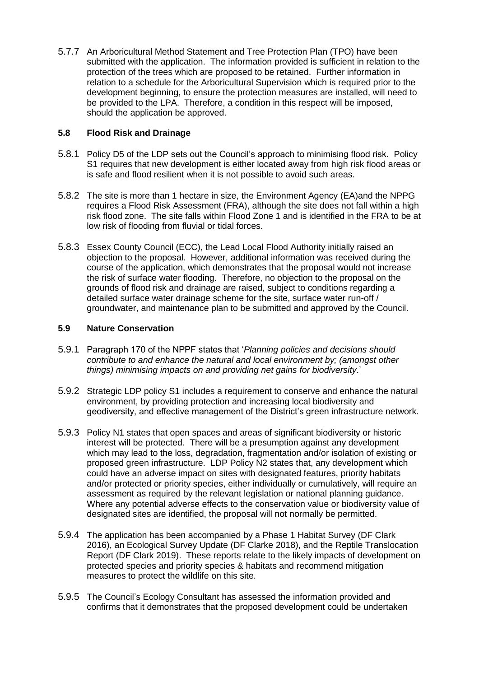5.7.7 An Arboricultural Method Statement and Tree Protection Plan (TPO) have been submitted with the application. The information provided is sufficient in relation to the protection of the trees which are proposed to be retained. Further information in relation to a schedule for the Arboricultural Supervision which is required prior to the development beginning, to ensure the protection measures are installed, will need to be provided to the LPA. Therefore, a condition in this respect will be imposed, should the application be approved.

## **5.8 Flood Risk and Drainage**

- 5.8.1 Policy D5 of the LDP sets out the Council's approach to minimising flood risk. Policy S1 requires that new development is either located away from high risk flood areas or is safe and flood resilient when it is not possible to avoid such areas.
- 5.8.2 The site is more than 1 hectare in size, the Environment Agency (EA)and the NPPG requires a Flood Risk Assessment (FRA), although the site does not fall within a high risk flood zone. The site falls within Flood Zone 1 and is identified in the FRA to be at low risk of flooding from fluvial or tidal forces.
- 5.8.3 Essex County Council (ECC), the Lead Local Flood Authority initially raised an objection to the proposal. However, additional information was received during the course of the application, which demonstrates that the proposal would not increase the risk of surface water flooding. Therefore, no objection to the proposal on the grounds of flood risk and drainage are raised, subject to conditions regarding a detailed surface water drainage scheme for the site, surface water run-off / groundwater, and maintenance plan to be submitted and approved by the Council.

## **5.9 Nature Conservation**

- 5.9.1 Paragraph 170 of the NPPF states that '*Planning policies and decisions should contribute to and enhance the natural and local environment by; (amongst other things) minimising impacts on and providing net gains for biodiversity*.'
- 5.9.2 Strategic LDP policy S1 includes a requirement to conserve and enhance the natural environment, by providing protection and increasing local biodiversity and geodiversity, and effective management of the District's green infrastructure network.
- 5.9.3 Policy N1 states that open spaces and areas of significant biodiversity or historic interest will be protected. There will be a presumption against any development which may lead to the loss, degradation, fragmentation and/or isolation of existing or proposed green infrastructure. LDP Policy N2 states that, any development which could have an adverse impact on sites with designated features, priority habitats and/or protected or priority species, either individually or cumulatively, will require an assessment as required by the relevant legislation or national planning guidance. Where any potential adverse effects to the conservation value or biodiversity value of designated sites are identified, the proposal will not normally be permitted.
- 5.9.4 The application has been accompanied by a Phase 1 Habitat Survey (DF Clark 2016), an Ecological Survey Update (DF Clarke 2018), and the Reptile Translocation Report (DF Clark 2019). These reports relate to the likely impacts of development on protected species and priority species & habitats and recommend mitigation measures to protect the wildlife on this site.
- 5.9.5 The Council's Ecology Consultant has assessed the information provided and confirms that it demonstrates that the proposed development could be undertaken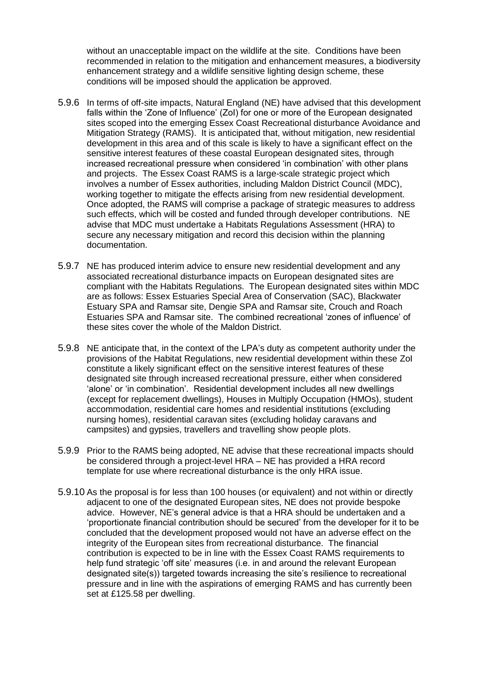without an unacceptable impact on the wildlife at the site. Conditions have been recommended in relation to the mitigation and enhancement measures, a biodiversity enhancement strategy and a wildlife sensitive lighting design scheme, these conditions will be imposed should the application be approved.

- 5.9.6 In terms of off-site impacts, Natural England (NE) have advised that this development falls within the 'Zone of Influence' (ZoI) for one or more of the European designated sites scoped into the emerging Essex Coast Recreational disturbance Avoidance and Mitigation Strategy (RAMS). It is anticipated that, without mitigation, new residential development in this area and of this scale is likely to have a significant effect on the sensitive interest features of these coastal European designated sites, through increased recreational pressure when considered 'in combination' with other plans and projects. The Essex Coast RAMS is a large-scale strategic project which involves a number of Essex authorities, including Maldon District Council (MDC), working together to mitigate the effects arising from new residential development. Once adopted, the RAMS will comprise a package of strategic measures to address such effects, which will be costed and funded through developer contributions. NE advise that MDC must undertake a Habitats Regulations Assessment (HRA) to secure any necessary mitigation and record this decision within the planning documentation.
- 5.9.7 NE has produced interim advice to ensure new residential development and any associated recreational disturbance impacts on European designated sites are compliant with the Habitats Regulations. The European designated sites within MDC are as follows: Essex Estuaries Special Area of Conservation (SAC), Blackwater Estuary SPA and Ramsar site, Dengie SPA and Ramsar site, Crouch and Roach Estuaries SPA and Ramsar site. The combined recreational 'zones of influence' of these sites cover the whole of the Maldon District.
- 5.9.8 NE anticipate that, in the context of the LPA's duty as competent authority under the provisions of the Habitat Regulations, new residential development within these ZoI constitute a likely significant effect on the sensitive interest features of these designated site through increased recreational pressure, either when considered 'alone' or 'in combination'. Residential development includes all new dwellings (except for replacement dwellings), Houses in Multiply Occupation (HMOs), student accommodation, residential care homes and residential institutions (excluding nursing homes), residential caravan sites (excluding holiday caravans and campsites) and gypsies, travellers and travelling show people plots.
- 5.9.9 Prior to the RAMS being adopted, NE advise that these recreational impacts should be considered through a project-level HRA – NE has provided a HRA record template for use where recreational disturbance is the only HRA issue.
- 5.9.10 As the proposal is for less than 100 houses (or equivalent) and not within or directly adjacent to one of the designated European sites, NE does not provide bespoke advice. However, NE's general advice is that a HRA should be undertaken and a 'proportionate financial contribution should be secured' from the developer for it to be concluded that the development proposed would not have an adverse effect on the integrity of the European sites from recreational disturbance. The financial contribution is expected to be in line with the Essex Coast RAMS requirements to help fund strategic 'off site' measures (i.e. in and around the relevant European designated site(s)) targeted towards increasing the site's resilience to recreational pressure and in line with the aspirations of emerging RAMS and has currently been set at £125.58 per dwelling.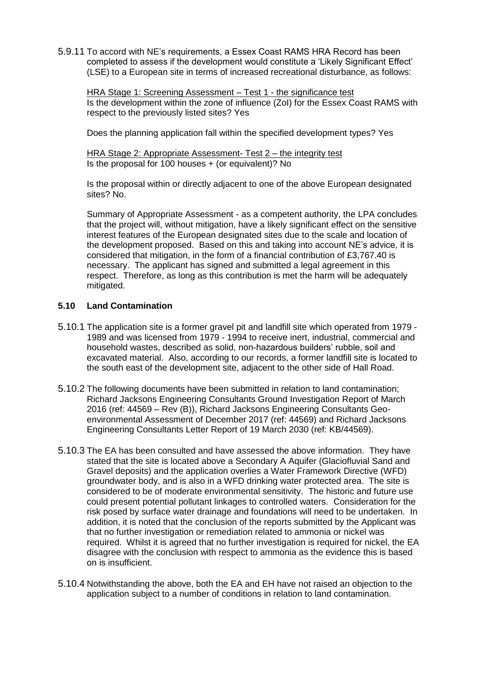5.9.11 To accord with NE's requirements, a Essex Coast RAMS HRA Record has been completed to assess if the development would constitute a 'Likely Significant Effect' (LSE) to a European site in terms of increased recreational disturbance, as follows:

HRA Stage 1: Screening Assessment – Test 1 - the significance test Is the development within the zone of influence (ZoI) for the Essex Coast RAMS with respect to the previously listed sites? Yes

Does the planning application fall within the specified development types? Yes

HRA Stage 2: Appropriate Assessment- Test 2 – the integrity test Is the proposal for 100 houses + (or equivalent)? No

Is the proposal within or directly adjacent to one of the above European designated sites? No.

Summary of Appropriate Assessment - as a competent authority, the LPA concludes that the project will, without mitigation, have a likely significant effect on the sensitive interest features of the European designated sites due to the scale and location of the development proposed. Based on this and taking into account NE's advice, it is considered that mitigation, in the form of a financial contribution of £3,767.40 is necessary. The applicant has signed and submitted a legal agreement in this respect. Therefore, as long as this contribution is met the harm will be adequately mitigated.

#### **5.10 Land Contamination**

- 5.10.1 The application site is a former gravel pit and landfill site which operated from 1979 1989 and was licensed from 1979 - 1994 to receive inert, industrial, commercial and household wastes, described as solid, non-hazardous builders' rubble, soil and excavated material. Also, according to our records, a former landfill site is located to the south east of the development site, adjacent to the other side of Hall Road.
- 5.10.2 The following documents have been submitted in relation to land contamination; Richard Jacksons Engineering Consultants Ground Investigation Report of March 2016 (ref: 44569 – Rev (B)), Richard Jacksons Engineering Consultants Geoenvironmental Assessment of December 2017 (ref: 44569) and Richard Jacksons Engineering Consultants Letter Report of 19 March 2030 (ref: KB/44569).
- 5.10.3 The EA has been consulted and have assessed the above information. They have stated that the site is located above a Secondary A Aquifer (Glaciofluvial Sand and Gravel deposits) and the application overlies a Water Framework Directive (WFD) groundwater body, and is also in a WFD drinking water protected area. The site is considered to be of moderate environmental sensitivity. The historic and future use could present potential pollutant linkages to controlled waters. Consideration for the risk posed by surface water drainage and foundations will need to be undertaken. In addition, it is noted that the conclusion of the reports submitted by the Applicant was that no further investigation or remediation related to ammonia or nickel was required. Whilst it is agreed that no further investigation is required for nickel, the EA disagree with the conclusion with respect to ammonia as the evidence this is based on is insufficient.
- 5.10.4 Notwithstanding the above, both the EA and EH have not raised an objection to the application subject to a number of conditions in relation to land contamination.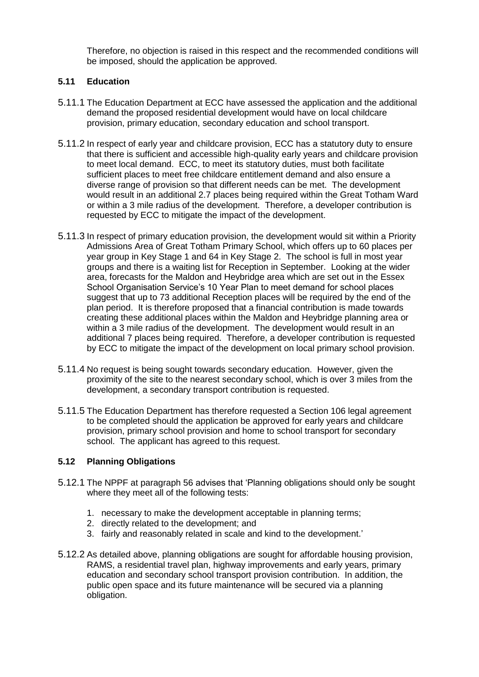Therefore, no objection is raised in this respect and the recommended conditions will be imposed, should the application be approved.

## **5.11 Education**

- 5.11.1 The Education Department at ECC have assessed the application and the additional demand the proposed residential development would have on local childcare provision, primary education, secondary education and school transport.
- 5.11.2 In respect of early year and childcare provision, ECC has a statutory duty to ensure that there is sufficient and accessible high-quality early years and childcare provision to meet local demand. ECC, to meet its statutory duties, must both facilitate sufficient places to meet free childcare entitlement demand and also ensure a diverse range of provision so that different needs can be met. The development would result in an additional 2.7 places being required within the Great Totham Ward or within a 3 mile radius of the development. Therefore, a developer contribution is requested by ECC to mitigate the impact of the development.
- 5.11.3 In respect of primary education provision, the development would sit within a Priority Admissions Area of Great Totham Primary School, which offers up to 60 places per year group in Key Stage 1 and 64 in Key Stage 2. The school is full in most year groups and there is a waiting list for Reception in September. Looking at the wider area, forecasts for the Maldon and Heybridge area which are set out in the Essex School Organisation Service's 10 Year Plan to meet demand for school places suggest that up to 73 additional Reception places will be required by the end of the plan period. It is therefore proposed that a financial contribution is made towards creating these additional places within the Maldon and Heybridge planning area or within a 3 mile radius of the development. The development would result in an additional 7 places being required. Therefore, a developer contribution is requested by ECC to mitigate the impact of the development on local primary school provision.
- 5.11.4 No request is being sought towards secondary education. However, given the proximity of the site to the nearest secondary school, which is over 3 miles from the development, a secondary transport contribution is requested.
- 5.11.5 The Education Department has therefore requested a Section 106 legal agreement to be completed should the application be approved for early years and childcare provision, primary school provision and home to school transport for secondary school. The applicant has agreed to this request.

#### **5.12 Planning Obligations**

- 5.12.1 The NPPF at paragraph 56 advises that 'Planning obligations should only be sought where they meet all of the following tests:
	- 1. necessary to make the development acceptable in planning terms;
	- 2. directly related to the development; and
	- 3. fairly and reasonably related in scale and kind to the development.'
- 5.12.2 As detailed above, planning obligations are sought for affordable housing provision, RAMS, a residential travel plan, highway improvements and early years, primary education and secondary school transport provision contribution. In addition, the public open space and its future maintenance will be secured via a planning obligation.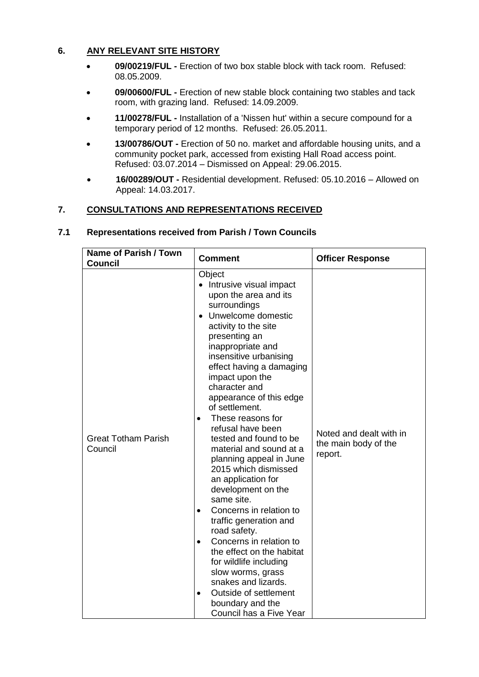## **6. ANY RELEVANT SITE HISTORY**

- **09/00219/FUL -** Erection of two box stable block with tack room. Refused: 08.05.2009.
- **09/00600/FUL -** Erection of new stable block containing two stables and tack room, with grazing land. Refused: 14.09.2009.
- **11/00278/FUL -** Installation of a 'Nissen hut' within a secure compound for a temporary period of 12 months. Refused: 26.05.2011.
- **13/00786/OUT -** Erection of 50 no. market and affordable housing units, and a community pocket park, accessed from existing Hall Road access point. Refused: 03.07.2014 – Dismissed on Appeal: 29.06.2015.
- **16/00289/OUT -** Residential development. Refused: 05.10.2016 Allowed on Appeal: 14.03.2017.

## **7. CONSULTATIONS AND REPRESENTATIONS RECEIVED**

| Name of Parish / Town<br><b>Council</b> | <b>Comment</b>                                                                                                                                                                                                                                                                                                                                                                                                                                                                                                                                                                                                                                                                                                                                                                                                           | <b>Officer Response</b>                                    |
|-----------------------------------------|--------------------------------------------------------------------------------------------------------------------------------------------------------------------------------------------------------------------------------------------------------------------------------------------------------------------------------------------------------------------------------------------------------------------------------------------------------------------------------------------------------------------------------------------------------------------------------------------------------------------------------------------------------------------------------------------------------------------------------------------------------------------------------------------------------------------------|------------------------------------------------------------|
| <b>Great Totham Parish</b><br>Council   | Object<br>• Intrusive visual impact<br>upon the area and its<br>surroundings<br>Unwelcome domestic<br>activity to the site<br>presenting an<br>inappropriate and<br>insensitive urbanising<br>effect having a damaging<br>impact upon the<br>character and<br>appearance of this edge<br>of settlement.<br>These reasons for<br>$\bullet$<br>refusal have been<br>tested and found to be<br>material and sound at a<br>planning appeal in June<br>2015 which dismissed<br>an application for<br>development on the<br>same site.<br>Concerns in relation to<br>traffic generation and<br>road safety.<br>Concerns in relation to<br>$\bullet$<br>the effect on the habitat<br>for wildlife including<br>slow worms, grass<br>snakes and lizards.<br>Outside of settlement<br>boundary and the<br>Council has a Five Year | Noted and dealt with in<br>the main body of the<br>report. |

#### **7.1 Representations received from Parish / Town Councils**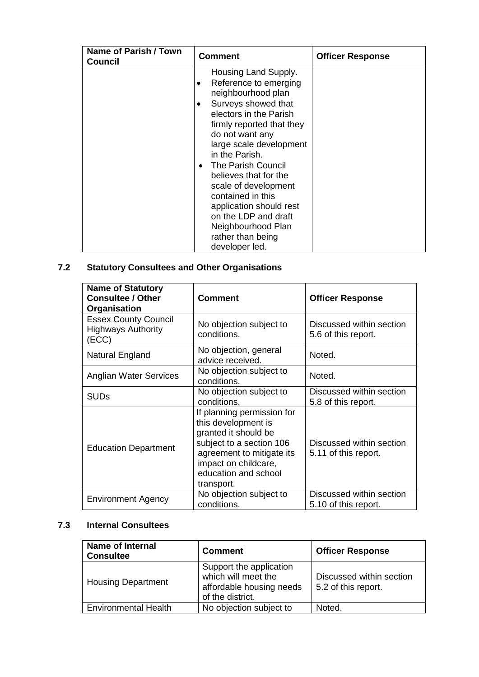| Name of Parish / Town<br>Council | <b>Comment</b>                                                                                                                                                                                                                                                                                                                                                                                                                                               | <b>Officer Response</b> |
|----------------------------------|--------------------------------------------------------------------------------------------------------------------------------------------------------------------------------------------------------------------------------------------------------------------------------------------------------------------------------------------------------------------------------------------------------------------------------------------------------------|-------------------------|
|                                  | Housing Land Supply.<br>Reference to emerging<br>٠<br>neighbourhood plan<br>Surveys showed that<br>$\bullet$<br>electors in the Parish<br>firmly reported that they<br>do not want any<br>large scale development<br>in the Parish.<br>The Parish Council<br>$\bullet$<br>believes that for the<br>scale of development<br>contained in this<br>application should rest<br>on the LDP and draft<br>Neighbourhood Plan<br>rather than being<br>developer led. |                         |

# **7.2 Statutory Consultees and Other Organisations**

| <b>Name of Statutory</b><br><b>Consultee / Other</b><br>Organisation | <b>Comment</b>                                                                                                                                                                                   | <b>Officer Response</b>                          |
|----------------------------------------------------------------------|--------------------------------------------------------------------------------------------------------------------------------------------------------------------------------------------------|--------------------------------------------------|
| <b>Essex County Council</b><br><b>Highways Authority</b><br>(ECC)    | No objection subject to<br>conditions.                                                                                                                                                           | Discussed within section<br>5.6 of this report.  |
| Natural England                                                      | No objection, general<br>advice received.                                                                                                                                                        | Noted.                                           |
| Anglian Water Services                                               | No objection subject to<br>Noted.<br>conditions.                                                                                                                                                 |                                                  |
| <b>SUDs</b>                                                          | No objection subject to<br>conditions.                                                                                                                                                           | Discussed within section<br>5.8 of this report.  |
| <b>Education Department</b>                                          | If planning permission for<br>this development is<br>granted it should be<br>subject to a section 106<br>agreement to mitigate its<br>impact on childcare,<br>education and school<br>transport. | Discussed within section<br>5.11 of this report. |
| <b>Environment Agency</b>                                            | No objection subject to<br>conditions.                                                                                                                                                           | Discussed within section<br>5.10 of this report. |

# **7.3 Internal Consultees**

| <b>Name of Internal</b><br><b>Consultee</b> | <b>Comment</b>                                                                                 | <b>Officer Response</b>                         |
|---------------------------------------------|------------------------------------------------------------------------------------------------|-------------------------------------------------|
| <b>Housing Department</b>                   | Support the application<br>which will meet the<br>affordable housing needs<br>of the district. | Discussed within section<br>5.2 of this report. |
| <b>Environmental Health</b>                 | No objection subject to                                                                        | Noted.                                          |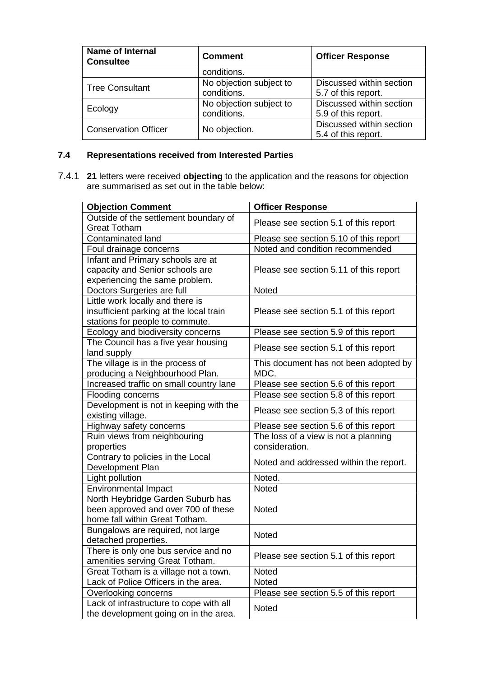| <b>Name of Internal</b><br><b>Consultee</b> | <b>Comment</b>                         | <b>Officer Response</b>                         |
|---------------------------------------------|----------------------------------------|-------------------------------------------------|
|                                             | conditions.                            |                                                 |
| <b>Tree Consultant</b>                      | No objection subject to<br>conditions. | Discussed within section<br>5.7 of this report. |
| Ecology                                     | No objection subject to<br>conditions. | Discussed within section<br>5.9 of this report. |
| <b>Conservation Officer</b>                 | No objection.                          | Discussed within section<br>5.4 of this report. |

# **7.4 Representations received from Interested Parties**

7.4.1 **21** letters were received **objecting** to the application and the reasons for objection are summarised as set out in the table below:

| <b>Objection Comment</b>                                     | <b>Officer Response</b>                |  |
|--------------------------------------------------------------|----------------------------------------|--|
| Outside of the settlement boundary of<br><b>Great Totham</b> | Please see section 5.1 of this report  |  |
| Contaminated land                                            | Please see section 5.10 of this report |  |
| Foul drainage concerns                                       | Noted and condition recommended        |  |
| Infant and Primary schools are at                            |                                        |  |
| capacity and Senior schools are                              | Please see section 5.11 of this report |  |
| experiencing the same problem.                               |                                        |  |
| Doctors Surgeries are full                                   | Noted                                  |  |
| Little work locally and there is                             |                                        |  |
| insufficient parking at the local train                      | Please see section 5.1 of this report  |  |
| stations for people to commute.                              |                                        |  |
| Ecology and biodiversity concerns                            | Please see section 5.9 of this report  |  |
| The Council has a five year housing<br>land supply           | Please see section 5.1 of this report  |  |
| The village is in the process of                             | This document has not been adopted by  |  |
| producing a Neighbourhood Plan.                              | MDC.                                   |  |
| Increased traffic on small country lane                      | Please see section 5.6 of this report  |  |
| Flooding concerns                                            | Please see section 5.8 of this report  |  |
| Development is not in keeping with the                       | Please see section 5.3 of this report  |  |
| existing village.                                            |                                        |  |
| Highway safety concerns                                      | Please see section 5.6 of this report  |  |
| Ruin views from neighbouring                                 | The loss of a view is not a planning   |  |
| properties                                                   | consideration.                         |  |
| Contrary to policies in the Local                            | Noted and addressed within the report. |  |
| Development Plan                                             |                                        |  |
| Light pollution                                              | Noted.                                 |  |
| Environmental Impact                                         | Noted                                  |  |
| North Heybridge Garden Suburb has                            |                                        |  |
| been approved and over 700 of these                          | Noted                                  |  |
| home fall within Great Totham.                               |                                        |  |
| Bungalows are required, not large                            | Noted                                  |  |
| detached properties.                                         |                                        |  |
| There is only one bus service and no                         | Please see section 5.1 of this report  |  |
| amenities serving Great Totham.                              |                                        |  |
| Great Totham is a village not a town.                        | Noted                                  |  |
| Lack of Police Officers in the area.                         | <b>Noted</b>                           |  |
| Overlooking concerns                                         | Please see section 5.5 of this report  |  |
| Lack of infrastructure to cope with all                      | <b>Noted</b>                           |  |
| the development going on in the area.                        |                                        |  |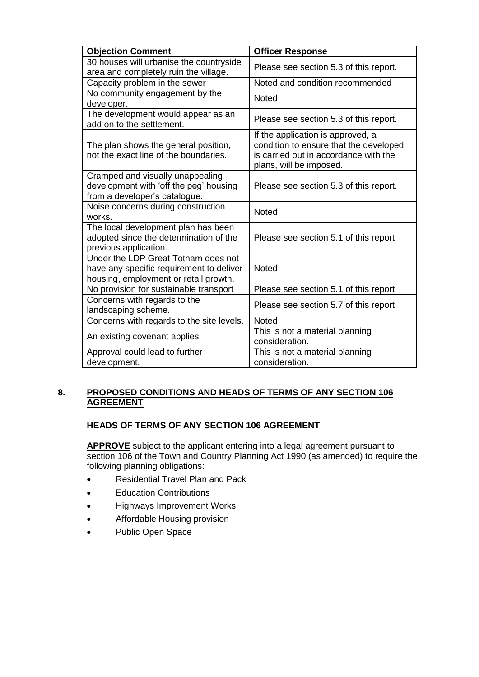| <b>Objection Comment</b>                                                                                                 | <b>Officer Response</b>                                                                                                                         |
|--------------------------------------------------------------------------------------------------------------------------|-------------------------------------------------------------------------------------------------------------------------------------------------|
| 30 houses will urbanise the countryside<br>area and completely ruin the village.                                         | Please see section 5.3 of this report.                                                                                                          |
| Capacity problem in the sewer                                                                                            | Noted and condition recommended                                                                                                                 |
| No community engagement by the<br>developer.                                                                             | <b>Noted</b>                                                                                                                                    |
| The development would appear as an<br>add on to the settlement.                                                          | Please see section 5.3 of this report.                                                                                                          |
| The plan shows the general position,<br>not the exact line of the boundaries.                                            | If the application is approved, a<br>condition to ensure that the developed<br>is carried out in accordance with the<br>plans, will be imposed. |
| Cramped and visually unappealing<br>development with 'off the peg' housing<br>from a developer's catalogue.              | Please see section 5.3 of this report.                                                                                                          |
| Noise concerns during construction<br>works.                                                                             | <b>Noted</b>                                                                                                                                    |
| The local development plan has been<br>adopted since the determination of the<br>previous application.                   | Please see section 5.1 of this report                                                                                                           |
| Under the LDP Great Totham does not<br>have any specific requirement to deliver<br>housing, employment or retail growth. | <b>Noted</b>                                                                                                                                    |
| No provision for sustainable transport                                                                                   | Please see section 5.1 of this report                                                                                                           |
| Concerns with regards to the<br>landscaping scheme.                                                                      | Please see section 5.7 of this report                                                                                                           |
| Concerns with regards to the site levels.                                                                                | <b>Noted</b>                                                                                                                                    |
| An existing covenant applies                                                                                             | This is not a material planning<br>consideration.                                                                                               |
| Approval could lead to further                                                                                           | This is not a material planning<br>consideration.                                                                                               |
| development.                                                                                                             |                                                                                                                                                 |

## **8. PROPOSED CONDITIONS AND HEADS OF TERMS OF ANY SECTION 106 AGREEMENT**

#### **HEADS OF TERMS OF ANY SECTION 106 AGREEMENT**

**APPROVE** subject to the applicant entering into a legal agreement pursuant to section 106 of the Town and Country Planning Act 1990 (as amended) to require the following planning obligations:

- Residential Travel Plan and Pack
- Education Contributions
- Highways Improvement Works
- Affordable Housing provision
- Public Open Space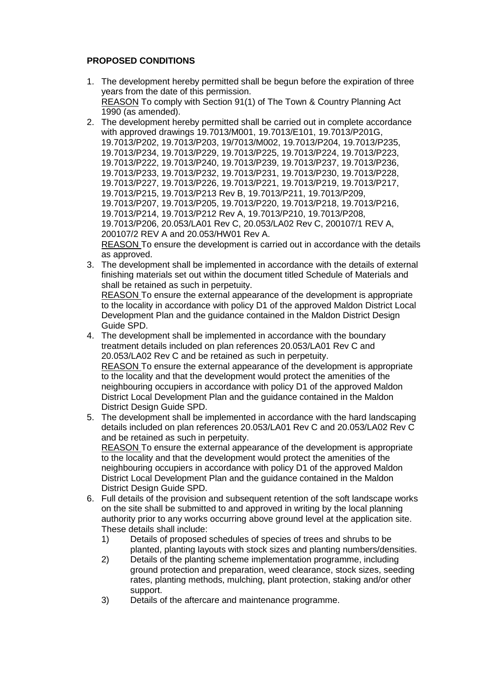# **PROPOSED CONDITIONS**

- 1. The development hereby permitted shall be begun before the expiration of three years from the date of this permission. REASON To comply with Section 91(1) of The Town & Country Planning Act 1990 (as amended).
- 2. The development hereby permitted shall be carried out in complete accordance with approved drawings 19.7013/M001, 19.7013/E101, 19.7013/P201G, 19.7013/P202, 19.7013/P203, 19/7013/M002, 19.7013/P204, 19.7013/P235, 19.7013/P234, 19.7013/P229, 19.7013/P225, 19.7013/P224, 19.7013/P223, 19.7013/P222, 19.7013/P240, 19.7013/P239, 19.7013/P237, 19.7013/P236, 19.7013/P233, 19.7013/P232, 19.7013/P231, 19.7013/P230, 19.7013/P228, 19.7013/P227, 19.7013/P226, 19.7013/P221, 19.7013/P219, 19.7013/P217, 19.7013/P215, 19.7013/P213 Rev B, 19.7013/P211, 19.7013/P209, 19.7013/P207, 19.7013/P205, 19.7013/P220, 19.7013/P218, 19.7013/P216, 19.7013/P214, 19.7013/P212 Rev A, 19.7013/P210, 19.7013/P208, 19.7013/P206, 20.053/LA01 Rev C, 20.053/LA02 Rev C, 200107/1 REV A, 200107/2 REV A and 20.053/HW01 Rev A. REASON To ensure the development is carried out in accordance with the details as approved.
- 3. The development shall be implemented in accordance with the details of external finishing materials set out within the document titled Schedule of Materials and shall be retained as such in perpetuity.

REASON To ensure the external appearance of the development is appropriate to the locality in accordance with policy D1 of the approved Maldon District Local Development Plan and the guidance contained in the Maldon District Design Guide SPD.

- 4. The development shall be implemented in accordance with the boundary treatment details included on plan references 20.053/LA01 Rev C and 20.053/LA02 Rev C and be retained as such in perpetuity. REASON To ensure the external appearance of the development is appropriate to the locality and that the development would protect the amenities of the neighbouring occupiers in accordance with policy D1 of the approved Maldon District Local Development Plan and the guidance contained in the Maldon District Design Guide SPD.
- 5. The development shall be implemented in accordance with the hard landscaping details included on plan references 20.053/LA01 Rev C and 20.053/LA02 Rev C and be retained as such in perpetuity. REASON To ensure the external appearance of the development is appropriate to the locality and that the development would protect the amenities of the neighbouring occupiers in accordance with policy D1 of the approved Maldon District Local Development Plan and the guidance contained in the Maldon
- District Design Guide SPD. 6. Full details of the provision and subsequent retention of the soft landscape works on the site shall be submitted to and approved in writing by the local planning authority prior to any works occurring above ground level at the application site. These details shall include:
	- 1) Details of proposed schedules of species of trees and shrubs to be planted, planting layouts with stock sizes and planting numbers/densities.
	- 2) Details of the planting scheme implementation programme, including ground protection and preparation, weed clearance, stock sizes, seeding rates, planting methods, mulching, plant protection, staking and/or other support.
	- 3) Details of the aftercare and maintenance programme.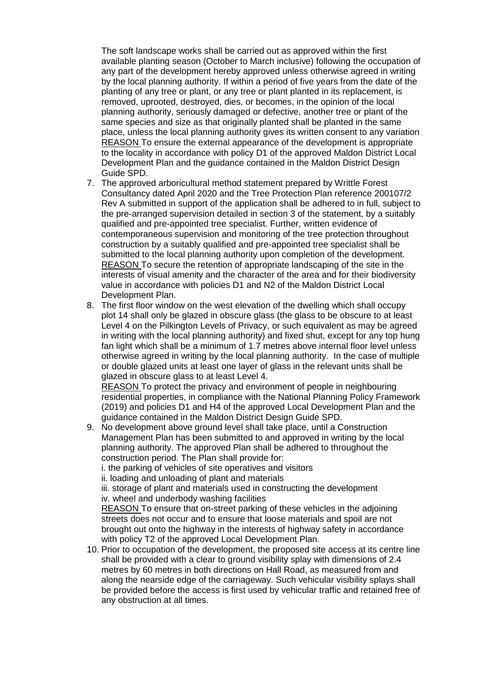The soft landscape works shall be carried out as approved within the first available planting season (October to March inclusive) following the occupation of any part of the development hereby approved unless otherwise agreed in writing by the local planning authority. If within a period of five years from the date of the planting of any tree or plant, or any tree or plant planted in its replacement, is removed, uprooted, destroyed, dies, or becomes, in the opinion of the local planning authority, seriously damaged or defective, another tree or plant of the same species and size as that originally planted shall be planted in the same place, unless the local planning authority gives its written consent to any variation REASON To ensure the external appearance of the development is appropriate to the locality in accordance with policy D1 of the approved Maldon District Local Development Plan and the guidance contained in the Maldon District Design Guide SPD.

- 7. The approved arboricultural method statement prepared by Writtle Forest Consultancy dated April 2020 and the Tree Protection Plan reference 200107/2 Rev A submitted in support of the application shall be adhered to in full, subject to the pre-arranged supervision detailed in section 3 of the statement, by a suitably qualified and pre-appointed tree specialist. Further, written evidence of contemporaneous supervision and monitoring of the tree protection throughout construction by a suitably qualified and pre-appointed tree specialist shall be submitted to the local planning authority upon completion of the development. REASON To secure the retention of appropriate landscaping of the site in the interests of visual amenity and the character of the area and for their biodiversity value in accordance with policies D1 and N2 of the Maldon District Local Development Plan.
- 8. The first floor window on the west elevation of the dwelling which shall occupy plot 14 shall only be glazed in obscure glass (the glass to be obscure to at least Level 4 on the Pilkington Levels of Privacy, or such equivalent as may be agreed in writing with the local planning authority) and fixed shut, except for any top hung fan light which shall be a minimum of 1.7 metres above internal floor level unless otherwise agreed in writing by the local planning authority. In the case of multiple or double glazed units at least one layer of glass in the relevant units shall be glazed in obscure glass to at least Level 4.

REASON To protect the privacy and environment of people in neighbouring residential properties, in compliance with the National Planning Policy Framework (2019) and policies D1 and H4 of the approved Local Development Plan and the guidance contained in the Maldon District Design Guide SPD.

9. No development above ground level shall take place, until a Construction Management Plan has been submitted to and approved in writing by the local planning authority. The approved Plan shall be adhered to throughout the construction period. The Plan shall provide for:

i. the parking of vehicles of site operatives and visitors

ii. loading and unloading of plant and materials

iii. storage of plant and materials used in constructing the development iv. wheel and underbody washing facilities

REASON To ensure that on-street parking of these vehicles in the adjoining streets does not occur and to ensure that loose materials and spoil are not brought out onto the highway in the interests of highway safety in accordance with policy T2 of the approved Local Development Plan.

10. Prior to occupation of the development, the proposed site access at its centre line shall be provided with a clear to ground visibility splay with dimensions of 2.4 metres by 60 metres in both directions on Hall Road, as measured from and along the nearside edge of the carriageway. Such vehicular visibility splays shall be provided before the access is first used by vehicular traffic and retained free of any obstruction at all times.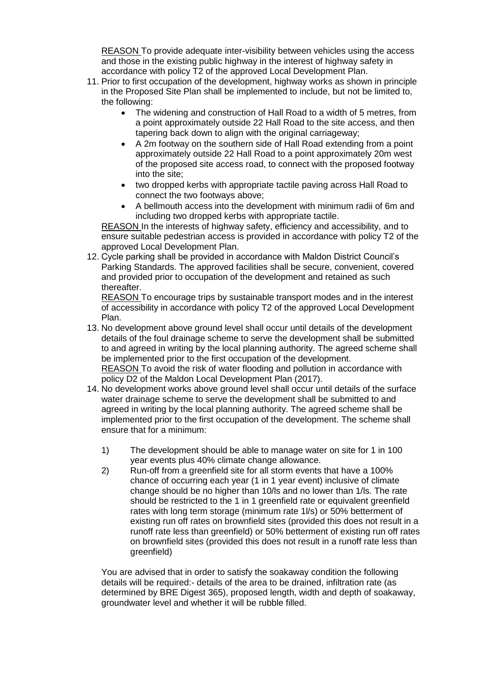REASON To provide adequate inter-visibility between vehicles using the access and those in the existing public highway in the interest of highway safety in accordance with policy T2 of the approved Local Development Plan.

- 11. Prior to first occupation of the development, highway works as shown in principle in the Proposed Site Plan shall be implemented to include, but not be limited to, the following:
	- The widening and construction of Hall Road to a width of 5 metres, from a point approximately outside 22 Hall Road to the site access, and then tapering back down to align with the original carriageway;
	- A 2m footway on the southern side of Hall Road extending from a point approximately outside 22 Hall Road to a point approximately 20m west of the proposed site access road, to connect with the proposed footway into the site;
	- two dropped kerbs with appropriate tactile paving across Hall Road to connect the two footways above;
	- A bellmouth access into the development with minimum radii of 6m and including two dropped kerbs with appropriate tactile.

REASON In the interests of highway safety, efficiency and accessibility, and to ensure suitable pedestrian access is provided in accordance with policy T2 of the approved Local Development Plan.

12. Cycle parking shall be provided in accordance with Maldon District Council's Parking Standards. The approved facilities shall be secure, convenient, covered and provided prior to occupation of the development and retained as such thereafter.

REASON To encourage trips by sustainable transport modes and in the interest of accessibility in accordance with policy T2 of the approved Local Development Plan.

- 13. No development above ground level shall occur until details of the development details of the foul drainage scheme to serve the development shall be submitted to and agreed in writing by the local planning authority. The agreed scheme shall be implemented prior to the first occupation of the development. REASON To avoid the risk of water flooding and pollution in accordance with policy D2 of the Maldon Local Development Plan (2017).
- 14. No development works above ground level shall occur until details of the surface water drainage scheme to serve the development shall be submitted to and agreed in writing by the local planning authority. The agreed scheme shall be implemented prior to the first occupation of the development. The scheme shall ensure that for a minimum:
	- 1) The development should be able to manage water on site for 1 in 100 year events plus 40% climate change allowance.
	- 2) Run-off from a greenfield site for all storm events that have a 100% chance of occurring each year (1 in 1 year event) inclusive of climate change should be no higher than 10/ls and no lower than 1/ls. The rate should be restricted to the 1 in 1 greenfield rate or equivalent greenfield rates with long term storage (minimum rate 1l/s) or 50% betterment of existing run off rates on brownfield sites (provided this does not result in a runoff rate less than greenfield) or 50% betterment of existing run off rates on brownfield sites (provided this does not result in a runoff rate less than greenfield)

You are advised that in order to satisfy the soakaway condition the following details will be required:- details of the area to be drained, infiltration rate (as determined by BRE Digest 365), proposed length, width and depth of soakaway, groundwater level and whether it will be rubble filled.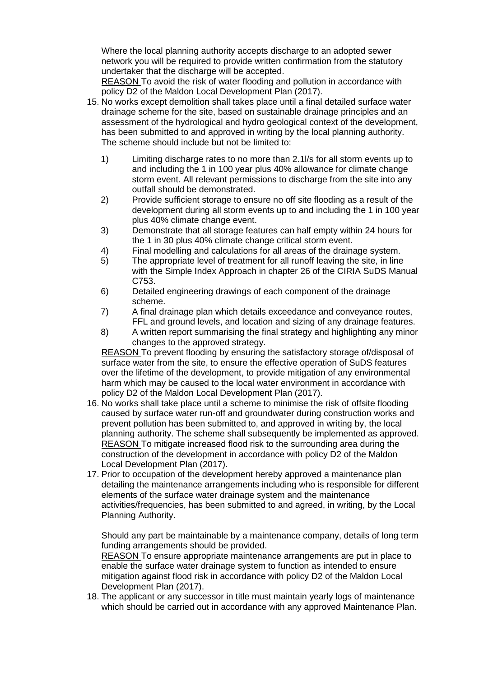Where the local planning authority accepts discharge to an adopted sewer network you will be required to provide written confirmation from the statutory undertaker that the discharge will be accepted.

REASON To avoid the risk of water flooding and pollution in accordance with policy D2 of the Maldon Local Development Plan (2017).

- 15. No works except demolition shall takes place until a final detailed surface water drainage scheme for the site, based on sustainable drainage principles and an assessment of the hydrological and hydro geological context of the development, has been submitted to and approved in writing by the local planning authority. The scheme should include but not be limited to:
	- 1) Limiting discharge rates to no more than 2.1l/s for all storm events up to and including the 1 in 100 year plus 40% allowance for climate change storm event. All relevant permissions to discharge from the site into any outfall should be demonstrated.
	- 2) Provide sufficient storage to ensure no off site flooding as a result of the development during all storm events up to and including the 1 in 100 year plus 40% climate change event.
	- 3) Demonstrate that all storage features can half empty within 24 hours for the 1 in 30 plus 40% climate change critical storm event.
	- 4) Final modelling and calculations for all areas of the drainage system.
	- 5) The appropriate level of treatment for all runoff leaving the site, in line with the Simple Index Approach in chapter 26 of the CIRIA SuDS Manual C753.
	- 6) Detailed engineering drawings of each component of the drainage scheme.
	- 7) A final drainage plan which details exceedance and conveyance routes, FFL and ground levels, and location and sizing of any drainage features.
	- 8) A written report summarising the final strategy and highlighting any minor changes to the approved strategy.

REASON To prevent flooding by ensuring the satisfactory storage of/disposal of surface water from the site, to ensure the effective operation of SuDS features over the lifetime of the development, to provide mitigation of any environmental harm which may be caused to the local water environment in accordance with policy D2 of the Maldon Local Development Plan (2017).

- 16. No works shall take place until a scheme to minimise the risk of offsite flooding caused by surface water run-off and groundwater during construction works and prevent pollution has been submitted to, and approved in writing by, the local planning authority. The scheme shall subsequently be implemented as approved. REASON To mitigate increased flood risk to the surrounding area during the construction of the development in accordance with policy D2 of the Maldon Local Development Plan (2017).
- 17. Prior to occupation of the development hereby approved a maintenance plan detailing the maintenance arrangements including who is responsible for different elements of the surface water drainage system and the maintenance activities/frequencies, has been submitted to and agreed, in writing, by the Local Planning Authority.

Should any part be maintainable by a maintenance company, details of long term funding arrangements should be provided.

REASON To ensure appropriate maintenance arrangements are put in place to enable the surface water drainage system to function as intended to ensure mitigation against flood risk in accordance with policy D2 of the Maldon Local Development Plan (2017).

18. The applicant or any successor in title must maintain yearly logs of maintenance which should be carried out in accordance with any approved Maintenance Plan.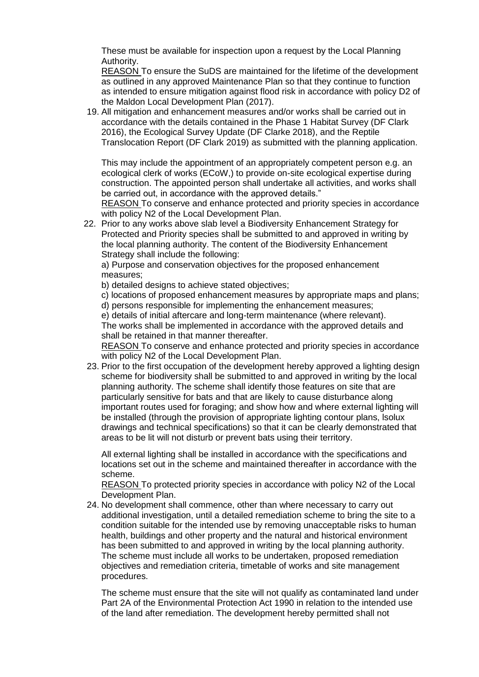These must be available for inspection upon a request by the Local Planning Authority.

REASON To ensure the SuDS are maintained for the lifetime of the development as outlined in any approved Maintenance Plan so that they continue to function as intended to ensure mitigation against flood risk in accordance with policy D2 of the Maldon Local Development Plan (2017).

19. All mitigation and enhancement measures and/or works shall be carried out in accordance with the details contained in the Phase 1 Habitat Survey (DF Clark 2016), the Ecological Survey Update (DF Clarke 2018), and the Reptile Translocation Report (DF Clark 2019) as submitted with the planning application.

This may include the appointment of an appropriately competent person e.g. an ecological clerk of works (ECoW,) to provide on-site ecological expertise during construction. The appointed person shall undertake all activities, and works shall be carried out, in accordance with the approved details."

REASON To conserve and enhance protected and priority species in accordance with policy N2 of the Local Development Plan.

22. Prior to any works above slab level a Biodiversity Enhancement Strategy for Protected and Priority species shall be submitted to and approved in writing by the local planning authority. The content of the Biodiversity Enhancement Strategy shall include the following:

a) Purpose and conservation objectives for the proposed enhancement measures;

b) detailed designs to achieve stated objectives;

c) locations of proposed enhancement measures by appropriate maps and plans;

d) persons responsible for implementing the enhancement measures;

e) details of initial aftercare and long-term maintenance (where relevant).

The works shall be implemented in accordance with the approved details and shall be retained in that manner thereafter.

REASON To conserve and enhance protected and priority species in accordance with policy N2 of the Local Development Plan.

23. Prior to the first occupation of the development hereby approved a lighting design scheme for biodiversity shall be submitted to and approved in writing by the local planning authority. The scheme shall identify those features on site that are particularly sensitive for bats and that are likely to cause disturbance along important routes used for foraging; and show how and where external lighting will be installed (through the provision of appropriate lighting contour plans, lsolux drawings and technical specifications) so that it can be clearly demonstrated that areas to be lit will not disturb or prevent bats using their territory.

All external lighting shall be installed in accordance with the specifications and locations set out in the scheme and maintained thereafter in accordance with the scheme.

REASON To protected priority species in accordance with policy N2 of the Local Development Plan.

24. No development shall commence, other than where necessary to carry out additional investigation, until a detailed remediation scheme to bring the site to a condition suitable for the intended use by removing unacceptable risks to human health, buildings and other property and the natural and historical environment has been submitted to and approved in writing by the local planning authority. The scheme must include all works to be undertaken, proposed remediation objectives and remediation criteria, timetable of works and site management procedures.

The scheme must ensure that the site will not qualify as contaminated land under Part 2A of the Environmental Protection Act 1990 in relation to the intended use of the land after remediation. The development hereby permitted shall not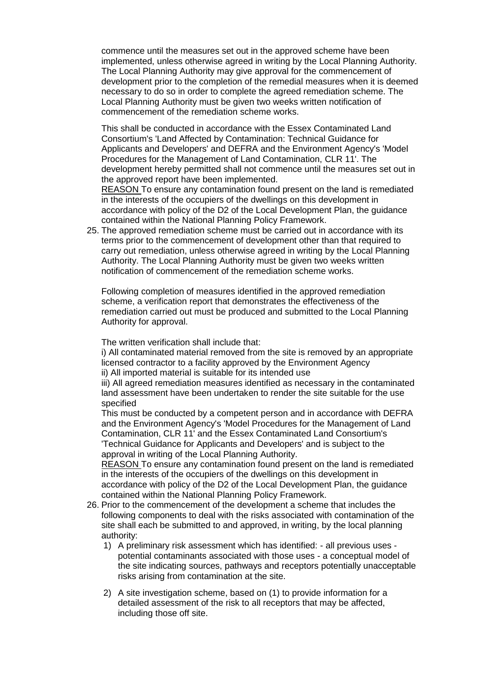commence until the measures set out in the approved scheme have been implemented, unless otherwise agreed in writing by the Local Planning Authority. The Local Planning Authority may give approval for the commencement of development prior to the completion of the remedial measures when it is deemed necessary to do so in order to complete the agreed remediation scheme. The Local Planning Authority must be given two weeks written notification of commencement of the remediation scheme works.

This shall be conducted in accordance with the Essex Contaminated Land Consortium's 'Land Affected by Contamination: Technical Guidance for Applicants and Developers' and DEFRA and the Environment Agency's 'Model Procedures for the Management of Land Contamination, CLR 11'. The development hereby permitted shall not commence until the measures set out in the approved report have been implemented.

REASON To ensure any contamination found present on the land is remediated in the interests of the occupiers of the dwellings on this development in accordance with policy of the D2 of the Local Development Plan, the guidance contained within the National Planning Policy Framework.

25. The approved remediation scheme must be carried out in accordance with its terms prior to the commencement of development other than that required to carry out remediation, unless otherwise agreed in writing by the Local Planning Authority. The Local Planning Authority must be given two weeks written notification of commencement of the remediation scheme works.

Following completion of measures identified in the approved remediation scheme, a verification report that demonstrates the effectiveness of the remediation carried out must be produced and submitted to the Local Planning Authority for approval.

The written verification shall include that:

i) All contaminated material removed from the site is removed by an appropriate licensed contractor to a facility approved by the Environment Agency ii) All imported material is suitable for its intended use

iii) All agreed remediation measures identified as necessary in the contaminated land assessment have been undertaken to render the site suitable for the use specified

This must be conducted by a competent person and in accordance with DEFRA and the Environment Agency's 'Model Procedures for the Management of Land Contamination, CLR 11' and the Essex Contaminated Land Consortium's 'Technical Guidance for Applicants and Developers' and is subject to the approval in writing of the Local Planning Authority.

REASON To ensure any contamination found present on the land is remediated in the interests of the occupiers of the dwellings on this development in accordance with policy of the D2 of the Local Development Plan, the guidance contained within the National Planning Policy Framework.

- 26. Prior to the commencement of the development a scheme that includes the following components to deal with the risks associated with contamination of the site shall each be submitted to and approved, in writing, by the local planning authority:
	- 1) A preliminary risk assessment which has identified: all previous uses potential contaminants associated with those uses - a conceptual model of the site indicating sources, pathways and receptors potentially unacceptable risks arising from contamination at the site.
	- 2) A site investigation scheme, based on (1) to provide information for a detailed assessment of the risk to all receptors that may be affected, including those off site.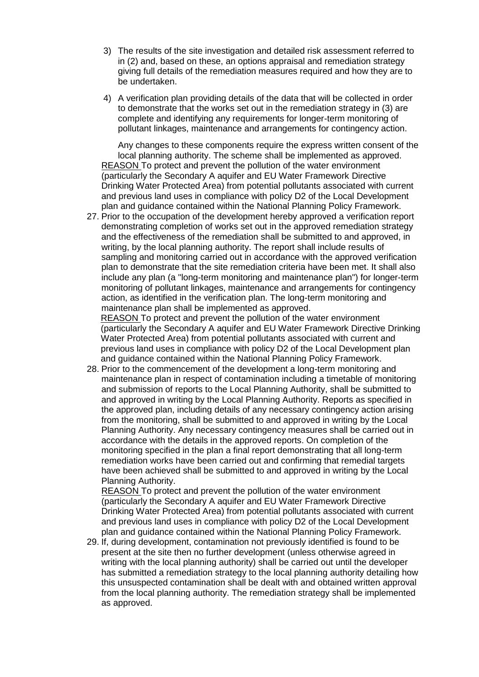- 3) The results of the site investigation and detailed risk assessment referred to in (2) and, based on these, an options appraisal and remediation strategy giving full details of the remediation measures required and how they are to be undertaken.
- 4) A verification plan providing details of the data that will be collected in order to demonstrate that the works set out in the remediation strategy in (3) are complete and identifying any requirements for longer-term monitoring of pollutant linkages, maintenance and arrangements for contingency action.

Any changes to these components require the express written consent of the local planning authority. The scheme shall be implemented as approved. REASON To protect and prevent the pollution of the water environment (particularly the Secondary A aquifer and EU Water Framework Directive Drinking Water Protected Area) from potential pollutants associated with current and previous land uses in compliance with policy D2 of the Local Development plan and guidance contained within the National Planning Policy Framework.

27. Prior to the occupation of the development hereby approved a verification report demonstrating completion of works set out in the approved remediation strategy and the effectiveness of the remediation shall be submitted to and approved, in writing, by the local planning authority. The report shall include results of sampling and monitoring carried out in accordance with the approved verification plan to demonstrate that the site remediation criteria have been met. It shall also include any plan (a "long-term monitoring and maintenance plan") for longer-term monitoring of pollutant linkages, maintenance and arrangements for contingency action, as identified in the verification plan. The long-term monitoring and maintenance plan shall be implemented as approved. REASON To protect and prevent the pollution of the water environment

(particularly the Secondary A aquifer and EU Water Framework Directive Drinking Water Protected Area) from potential pollutants associated with current and previous land uses in compliance with policy D2 of the Local Development plan and guidance contained within the National Planning Policy Framework.

28. Prior to the commencement of the development a long-term monitoring and maintenance plan in respect of contamination including a timetable of monitoring and submission of reports to the Local Planning Authority, shall be submitted to and approved in writing by the Local Planning Authority. Reports as specified in the approved plan, including details of any necessary contingency action arising from the monitoring, shall be submitted to and approved in writing by the Local Planning Authority. Any necessary contingency measures shall be carried out in accordance with the details in the approved reports. On completion of the monitoring specified in the plan a final report demonstrating that all long-term remediation works have been carried out and confirming that remedial targets have been achieved shall be submitted to and approved in writing by the Local Planning Authority.

REASON To protect and prevent the pollution of the water environment (particularly the Secondary A aquifer and EU Water Framework Directive Drinking Water Protected Area) from potential pollutants associated with current and previous land uses in compliance with policy D2 of the Local Development plan and guidance contained within the National Planning Policy Framework.

29. If, during development, contamination not previously identified is found to be present at the site then no further development (unless otherwise agreed in writing with the local planning authority) shall be carried out until the developer has submitted a remediation strategy to the local planning authority detailing how this unsuspected contamination shall be dealt with and obtained written approval from the local planning authority. The remediation strategy shall be implemented as approved.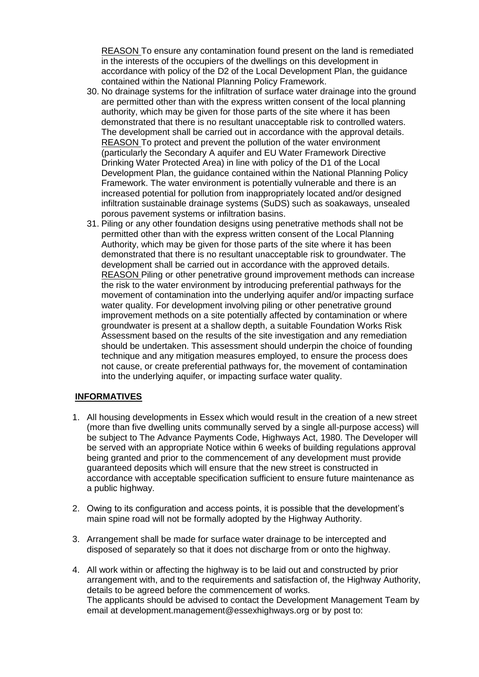REASON To ensure any contamination found present on the land is remediated in the interests of the occupiers of the dwellings on this development in accordance with policy of the D2 of the Local Development Plan, the guidance contained within the National Planning Policy Framework.

- 30. No drainage systems for the infiltration of surface water drainage into the ground are permitted other than with the express written consent of the local planning authority, which may be given for those parts of the site where it has been demonstrated that there is no resultant unacceptable risk to controlled waters. The development shall be carried out in accordance with the approval details. REASON To protect and prevent the pollution of the water environment (particularly the Secondary A aquifer and EU Water Framework Directive Drinking Water Protected Area) in line with policy of the D1 of the Local Development Plan, the guidance contained within the National Planning Policy Framework. The water environment is potentially vulnerable and there is an increased potential for pollution from inappropriately located and/or designed infiltration sustainable drainage systems (SuDS) such as soakaways, unsealed porous pavement systems or infiltration basins.
- 31. Piling or any other foundation designs using penetrative methods shall not be permitted other than with the express written consent of the Local Planning Authority, which may be given for those parts of the site where it has been demonstrated that there is no resultant unacceptable risk to groundwater. The development shall be carried out in accordance with the approved details. REASON Piling or other penetrative ground improvement methods can increase the risk to the water environment by introducing preferential pathways for the movement of contamination into the underlying aquifer and/or impacting surface water quality. For development involving piling or other penetrative ground improvement methods on a site potentially affected by contamination or where groundwater is present at a shallow depth, a suitable Foundation Works Risk Assessment based on the results of the site investigation and any remediation should be undertaken. This assessment should underpin the choice of founding technique and any mitigation measures employed, to ensure the process does not cause, or create preferential pathways for, the movement of contamination into the underlying aquifer, or impacting surface water quality.

#### **INFORMATIVES**

- 1. All housing developments in Essex which would result in the creation of a new street (more than five dwelling units communally served by a single all-purpose access) will be subject to The Advance Payments Code, Highways Act, 1980. The Developer will be served with an appropriate Notice within 6 weeks of building regulations approval being granted and prior to the commencement of any development must provide guaranteed deposits which will ensure that the new street is constructed in accordance with acceptable specification sufficient to ensure future maintenance as a public highway.
- 2. Owing to its configuration and access points, it is possible that the development's main spine road will not be formally adopted by the Highway Authority.
- 3. Arrangement shall be made for surface water drainage to be intercepted and disposed of separately so that it does not discharge from or onto the highway.
- 4. All work within or affecting the highway is to be laid out and constructed by prior arrangement with, and to the requirements and satisfaction of, the Highway Authority, details to be agreed before the commencement of works. The applicants should be advised to contact the Development Management Team by email at development.management@essexhighways.org or by post to: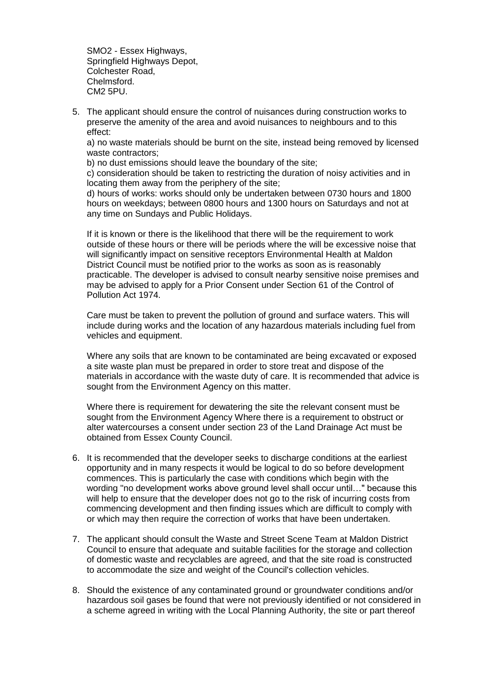SMO2 - Essex Highways, Springfield Highways Depot, Colchester Road, Chelmsford. CM2 5PU.

5. The applicant should ensure the control of nuisances during construction works to preserve the amenity of the area and avoid nuisances to neighbours and to this effect:

a) no waste materials should be burnt on the site, instead being removed by licensed waste contractors;

b) no dust emissions should leave the boundary of the site;

c) consideration should be taken to restricting the duration of noisy activities and in locating them away from the periphery of the site;

d) hours of works: works should only be undertaken between 0730 hours and 1800 hours on weekdays; between 0800 hours and 1300 hours on Saturdays and not at any time on Sundays and Public Holidays.

If it is known or there is the likelihood that there will be the requirement to work outside of these hours or there will be periods where the will be excessive noise that will significantly impact on sensitive receptors Environmental Health at Maldon District Council must be notified prior to the works as soon as is reasonably practicable. The developer is advised to consult nearby sensitive noise premises and may be advised to apply for a Prior Consent under Section 61 of the Control of Pollution Act 1974.

Care must be taken to prevent the pollution of ground and surface waters. This will include during works and the location of any hazardous materials including fuel from vehicles and equipment.

Where any soils that are known to be contaminated are being excavated or exposed a site waste plan must be prepared in order to store treat and dispose of the materials in accordance with the waste duty of care. It is recommended that advice is sought from the Environment Agency on this matter.

Where there is requirement for dewatering the site the relevant consent must be sought from the Environment Agency Where there is a requirement to obstruct or alter watercourses a consent under section 23 of the Land Drainage Act must be obtained from Essex County Council.

- 6. It is recommended that the developer seeks to discharge conditions at the earliest opportunity and in many respects it would be logical to do so before development commences. This is particularly the case with conditions which begin with the wording "no development works above ground level shall occur until…" because this will help to ensure that the developer does not go to the risk of incurring costs from commencing development and then finding issues which are difficult to comply with or which may then require the correction of works that have been undertaken.
- 7. The applicant should consult the Waste and Street Scene Team at Maldon District Council to ensure that adequate and suitable facilities for the storage and collection of domestic waste and recyclables are agreed, and that the site road is constructed to accommodate the size and weight of the Council's collection vehicles.
- 8. Should the existence of any contaminated ground or groundwater conditions and/or hazardous soil gases be found that were not previously identified or not considered in a scheme agreed in writing with the Local Planning Authority, the site or part thereof